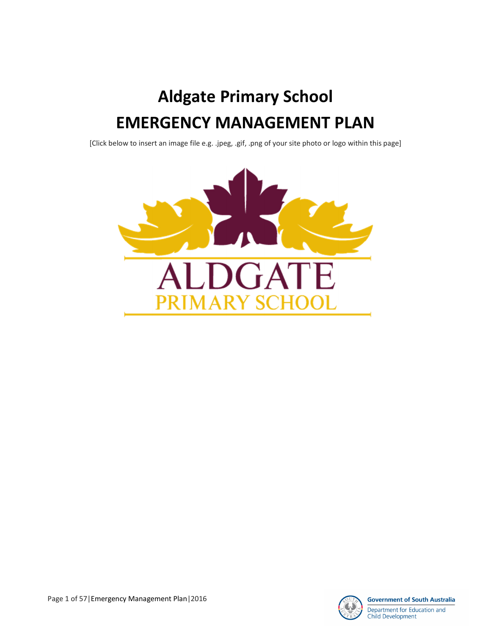# **Aldgate Primary School EMERGENCY MANAGEMENT PLAN**

[Click below to insert an image file e.g. .jpeg, .gif, .png of your site photo or logo within this page]



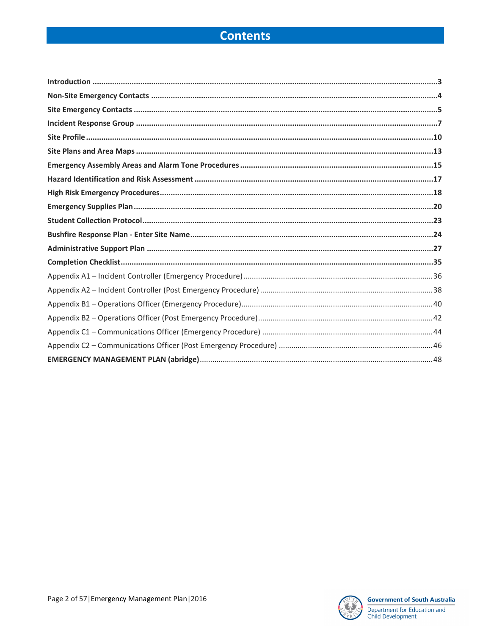### **Contents**

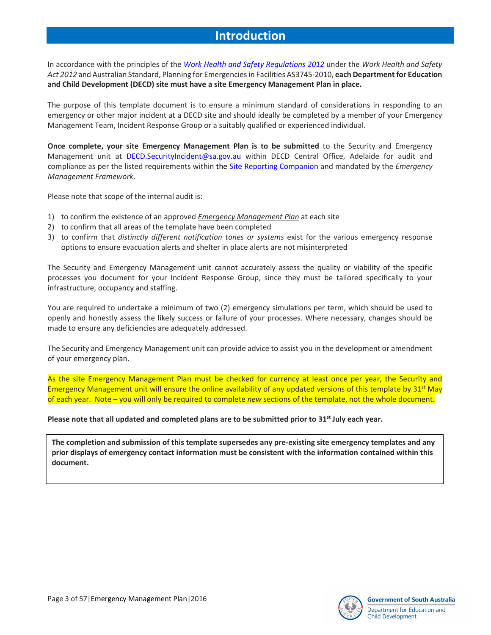### **Introduction**

In accordance with the principles of the *Work Health and Safety Regulations 2012* under the *Work Health and Safety Act 2012* and Australian Standard, Planning for Emergencies in Facilities AS3745-2010, **each Department for Education and Child Development (DECD) site must have a site Emergency Management Plan in place.** 

The purpose of this template document is to ensure a minimum standard of considerations in responding to an emergency or other major incident at a DECD site and should ideally be completed by a member of your Emergency Management Team, Incident Response Group or a suitably qualified or experienced individual.

**Once complete, your site Emergency Management Plan is to be submitted** to the Security and Emergency Management unit at DECD.SecurityIncident@sa.gov.au within DECD Central Office, Adelaide for audit and compliance as per the listed requirements within the Site Reporting Companion and mandated by the *Emergency Management Framework*.

Please note that scope of the internal audit is:

- 1) to confirm the existence of an approved *Emergency Management Plan* at each site
- 2) to confirm that all areas of the template have been completed
- 3) to confirm that *distinctly different notification tones or systems* exist for the various emergency response options to ensure evacuation alerts and shelter in place alerts are not misinterpreted

The Security and Emergency Management unit cannot accurately assess the quality or viability of the specific processes you document for your Incident Response Group, since they must be tailored specifically to your infrastructure, occupancy and staffing.

You are required to undertake a minimum of two (2) emergency simulations per term, which should be used to openly and honestly assess the likely success or failure of your processes. Where necessary, changes should be made to ensure any deficiencies are adequately addressed.

The Security and Emergency Management unit can provide advice to assist you in the development or amendment of your emergency plan.

As the site Emergency Management Plan must be checked for currency at least once per year, the Security and Emergency Management unit will ensure the online availability of any updated versions of this template by  $31<sup>st</sup>$  May of each year. Note – you will only be required to complete *new* sections of the template, not the whole document.

**Please note that all updated and completed plans are to be submitted prior to 31st July each year.** 

prior displays of emergency contact information must be consistent with the information contained within this **The completion and submission of this template supersedes any pre-existing site emergency templates and any document.**

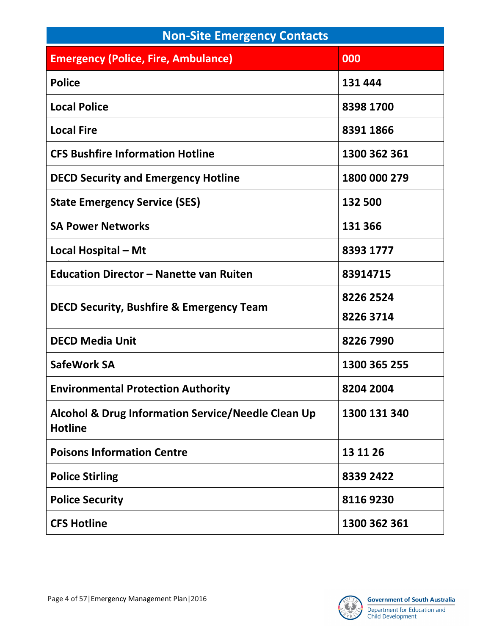| <b>Non-Site Emergency Contacts</b>                                              |              |  |
|---------------------------------------------------------------------------------|--------------|--|
| <b>Emergency (Police, Fire, Ambulance)</b>                                      | 000          |  |
| <b>Police</b>                                                                   | 131 444      |  |
| <b>Local Police</b>                                                             | 8398 1700    |  |
| <b>Local Fire</b>                                                               | 8391 1866    |  |
| <b>CFS Bushfire Information Hotline</b>                                         | 1300 362 361 |  |
| <b>DECD Security and Emergency Hotline</b>                                      | 1800 000 279 |  |
| <b>State Emergency Service (SES)</b>                                            | 132 500      |  |
| <b>SA Power Networks</b>                                                        | 131 366      |  |
| Local Hospital - Mt                                                             | 8393 1777    |  |
| <b>Education Director - Nanette van Ruiten</b>                                  | 83914715     |  |
|                                                                                 | 8226 2524    |  |
| <b>DECD Security, Bushfire &amp; Emergency Team</b>                             | 8226 3714    |  |
| <b>DECD Media Unit</b>                                                          | 8226 7990    |  |
| <b>SafeWork SA</b>                                                              | 1300 365 255 |  |
| <b>Environmental Protection Authority</b>                                       | 8204 2004    |  |
| <b>Alcohol &amp; Drug Information Service/Needle Clean Up</b><br><b>Hotline</b> | 1300 131 340 |  |
| <b>Poisons Information Centre</b>                                               | 13 11 26     |  |
| <b>Police Stirling</b>                                                          | 8339 2422    |  |
| <b>Police Security</b>                                                          | 81169230     |  |
| <b>CFS Hotline</b>                                                              | 1300 362 361 |  |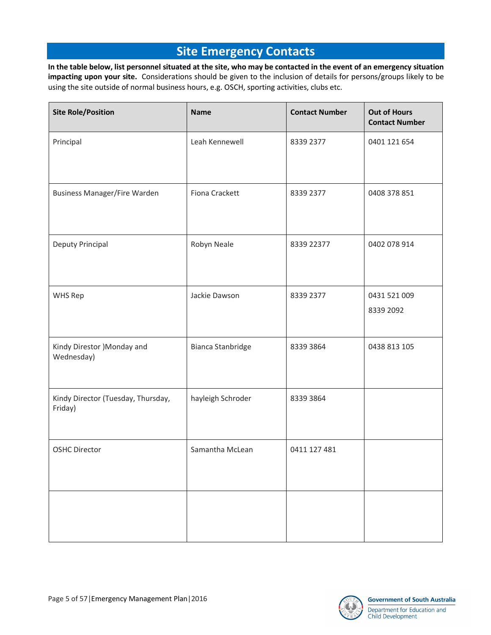### **Site Emergency Contacts**

**In the table below, list personnel situated at the site, who may be contacted in the event of an emergency situation impacting upon your site.** Considerations should be given to the inclusion of details for persons/groups likely to be using the site outside of normal business hours, e.g. OSCH, sporting activities, clubs etc.

| <b>Site Role/Position</b>                     | <b>Name</b>       | <b>Contact Number</b> | <b>Out of Hours</b><br><b>Contact Number</b> |
|-----------------------------------------------|-------------------|-----------------------|----------------------------------------------|
| Principal                                     | Leah Kennewell    | 8339 2377             | 0401 121 654                                 |
| <b>Business Manager/Fire Warden</b>           | Fiona Crackett    | 8339 2377             | 0408 378 851                                 |
| Deputy Principal                              | Robyn Neale       | 8339 22377            | 0402 078 914                                 |
| WHS Rep                                       | Jackie Dawson     | 8339 2377             | 0431 521 009<br>8339 2092                    |
| Kindy Direstor )Monday and<br>Wednesday)      | Bianca Stanbridge | 8339 3864             | 0438 813 105                                 |
| Kindy Director (Tuesday, Thursday,<br>Friday) | hayleigh Schroder | 8339 3864             |                                              |
| <b>OSHC Director</b>                          | Samantha McLean   | 0411 127 481          |                                              |
|                                               |                   |                       |                                              |

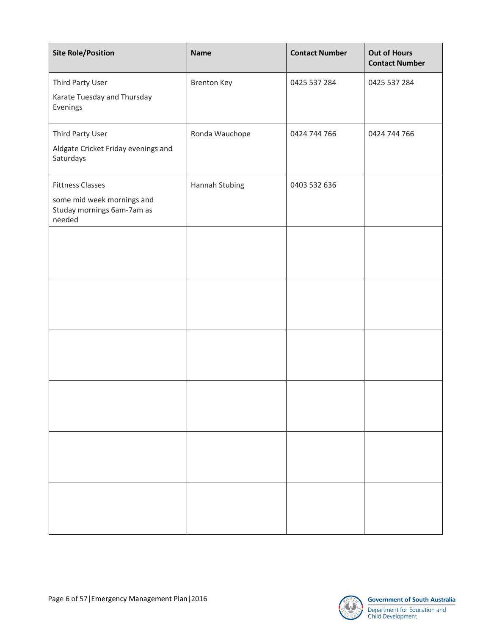| <b>Site Role/Position</b>                                                                     | <b>Name</b>        | <b>Contact Number</b> | <b>Out of Hours</b><br><b>Contact Number</b> |
|-----------------------------------------------------------------------------------------------|--------------------|-----------------------|----------------------------------------------|
| Third Party User<br>Karate Tuesday and Thursday<br>Evenings                                   | <b>Brenton Key</b> | 0425 537 284          | 0425 537 284                                 |
| Third Party User<br>Aldgate Cricket Friday evenings and<br>Saturdays                          | Ronda Wauchope     | 0424 744 766          | 0424 744 766                                 |
| <b>Fittness Classes</b><br>some mid week mornings and<br>Studay mornings 6am-7am as<br>needed | Hannah Stubing     | 0403 532 636          |                                              |
|                                                                                               |                    |                       |                                              |
|                                                                                               |                    |                       |                                              |
|                                                                                               |                    |                       |                                              |
|                                                                                               |                    |                       |                                              |
|                                                                                               |                    |                       |                                              |
|                                                                                               |                    |                       |                                              |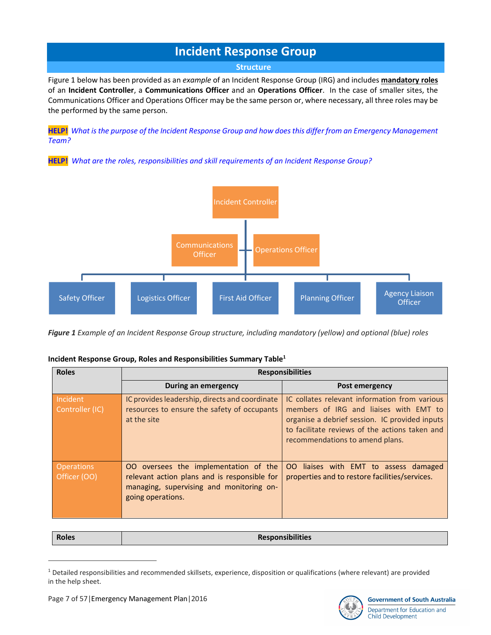### **Incident Response Group**

**Structure** 

Figure 1 below has been provided as an *example* of an Incident Response Group (IRG) and includes **mandatory roles** of an **Incident Controller**, a **Communications Officer** and an **Operations Officer**. In the case of smaller sites, the Communications Officer and Operations Officer may be the same person or, where necessary, all three roles may be the performed by the same person.

**HELP!** *What is the purpose of the Incident Response Group and how does this differ from an Emergency Management Team?* 





*Figure 1 Example of an Incident Response Group structure, including mandatory (yellow) and optional (blue) roles* 

#### **Incident Response Group, Roles and Responsibilities Summary Table<sup>1</sup>**

| <b>Roles</b>                      | <b>Responsibilities</b>                                                                                                                                |                                                                                                                                                                                                                                |  |
|-----------------------------------|--------------------------------------------------------------------------------------------------------------------------------------------------------|--------------------------------------------------------------------------------------------------------------------------------------------------------------------------------------------------------------------------------|--|
|                                   | During an emergency                                                                                                                                    | Post emergency                                                                                                                                                                                                                 |  |
| Incident<br>Controller (IC)       | IC provides leadership, directs and coordinate<br>resources to ensure the safety of occupants<br>at the site                                           | IC collates relevant information from various<br>members of IRG and liaises with EMT to<br>organise a debrief session. IC provided inputs<br>to facilitate reviews of the actions taken and<br>recommendations to amend plans. |  |
| <b>Operations</b><br>Officer (OO) | OO oversees the implementation of the<br>relevant action plans and is responsible for<br>managing, supervising and monitoring on-<br>going operations. | OO liaises with EMT to assess damaged<br>properties and to restore facilities/services.                                                                                                                                        |  |

| <b>Roles</b> | <b>Responsibilities</b> |
|--------------|-------------------------|
|              |                         |

<sup>&</sup>lt;sup>1</sup> Detailed responsibilities and recommended skillsets, experience, disposition or qualifications (where relevant) are provided in the help sheet.

.

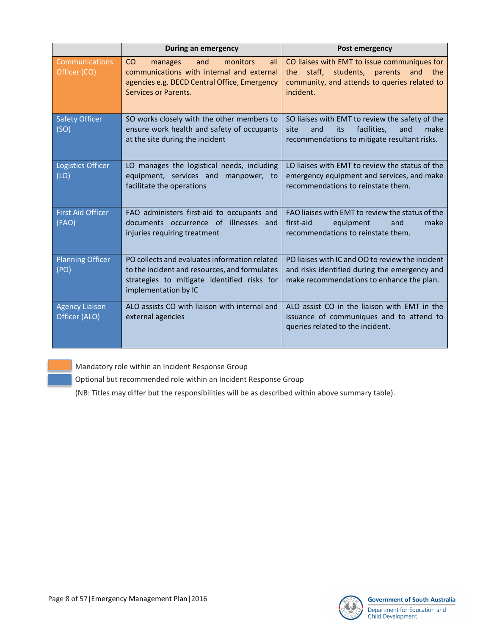|                                        | During an emergency                                                                                                                                                   | Post emergency                                                                                                                                                 |
|----------------------------------------|-----------------------------------------------------------------------------------------------------------------------------------------------------------------------|----------------------------------------------------------------------------------------------------------------------------------------------------------------|
| <b>Communications</b><br>Officer (CO)  | CO.<br>all<br>and<br>monitors<br>manages<br>communications with internal and external<br>agencies e.g. DECD Central Office, Emergency<br>Services or Parents.         | CO liaises with EMT to issue communiques for<br>staff, students, parents<br>and<br>the<br>the the<br>community, and attends to queries related to<br>incident. |
| <b>Safety Officer</b><br>(SO)          | SO works closely with the other members to<br>ensure work health and safety of occupants<br>at the site during the incident                                           | SO liaises with EMT to review the safety of the<br>facilities.<br>and<br>site<br>and<br><i>its</i><br>make<br>recommendations to mitigate resultant risks.     |
| <b>Logistics Officer</b><br>(LO)       | LO manages the logistical needs, including<br>equipment, services and<br>manpower, to<br>facilitate the operations                                                    | LO liaises with EMT to review the status of the<br>emergency equipment and services, and make<br>recommendations to reinstate them.                            |
| <b>First Aid Officer</b><br>(FAO)      | FAO administers first-aid to occupants and<br>documents occurrence of illnesses and<br>injuries requiring treatment                                                   | FAO liaises with EMT to review the status of the<br>make<br>first-aid<br>equipment<br>and<br>recommendations to reinstate them.                                |
| <b>Planning Officer</b><br>(PO)        | PO collects and evaluates information related<br>to the incident and resources, and formulates<br>strategies to mitigate identified risks for<br>implementation by IC | PO liaises with IC and OO to review the incident<br>and risks identified during the emergency and<br>make recommendations to enhance the plan.                 |
| <b>Agency Liaison</b><br>Officer (ALO) | ALO assists CO with liaison with internal and<br>external agencies                                                                                                    | ALO assist CO in the liaison with EMT in the<br>issuance of communiques and to attend to<br>queries related to the incident.                                   |

Mandatory role within an Incident Response Group

Optional but recommended role within an Incident Response Group

(NB: Titles may differ but the responsibilities will be as described within above summary table).

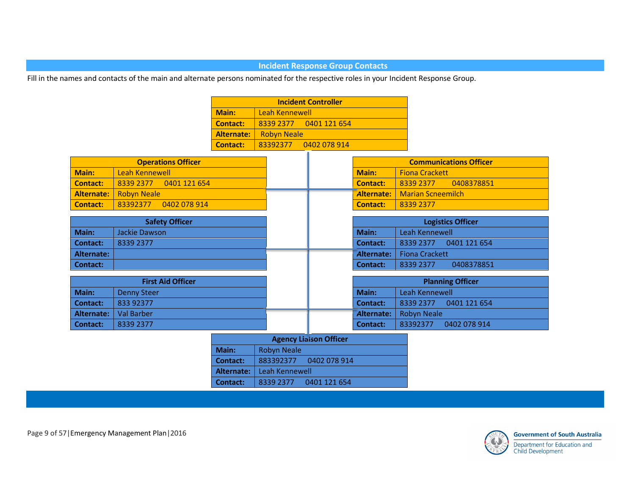#### **Incident Response Group Contacts**

Fill in the names and contacts of the main and alternate persons nominated for the respective roles in your Incident Response Group.

| <b>Incident Controller</b> |                        |  |
|----------------------------|------------------------|--|
| <b>Main:</b>               | Leah Kennewell         |  |
| <b>Contact:</b>            | 8339 2377 0401 121 654 |  |
| <b>Alternate:</b>          | <b>Robyn Neale</b>     |  |
| <b>Contact:</b>            | 83392377 0402 078 914  |  |
|                            |                        |  |

|                          | <b>Operations Officer</b> |                               |                   | <b>Communications Officer</b> |
|--------------------------|---------------------------|-------------------------------|-------------------|-------------------------------|
| Main:                    | Leah Kennewell            |                               | <b>Main:</b>      | <b>Fiona Crackett</b>         |
| <b>Contact:</b>          | 0401 121 654<br>8339 2377 |                               | <b>Contact:</b>   | 8339 2377<br>0408378851       |
| Alternate:               | <b>Robyn Neale</b>        |                               | <b>Alternate:</b> | <b>Marian Scneemilch</b>      |
| <b>Contact:</b>          | 83392377<br>0402 078 914  |                               | <b>Contact:</b>   | 8339 2377                     |
|                          | <b>Safety Officer</b>     |                               |                   | <b>Logistics Officer</b>      |
| Main:                    | Jackie Dawson             |                               | Main:             | Leah Kennewell                |
| <b>Contact:</b>          | 8339 2377                 |                               | Contact:          | 8339 2377<br>0401 121 654     |
| Alternate:               |                           |                               | Alternate:        | <b>Fiona Crackett</b>         |
| <b>Contact:</b>          |                           |                               | Contact:          | 8339 2377<br>0408378851       |
| <b>First Aid Officer</b> |                           |                               |                   | <b>Planning Officer</b>       |
| Main:                    | <b>Denny Steer</b>        |                               | Main:             | Leah Kennewell                |
| <b>Contact:</b>          | 833 92377                 |                               | Contact:          | 8339 2377<br>0401 121 654     |
| Alternate:               | <b>Val Barber</b>         |                               | Alternate:        | <b>Robyn Neale</b>            |
| <b>Contact:</b>          | 8339 2377                 |                               | Contact:          | 83392377<br>0402 078 914      |
|                          |                           | <b>Agency Liaison Officer</b> |                   |                               |

| <b>Agency Liaison Officer</b> |                    |                        |  |
|-------------------------------|--------------------|------------------------|--|
| Main:                         | <b>Robyn Neale</b> |                        |  |
| Contact:                      |                    | 883392377 0402 078 914 |  |
| Alternate:                    | Leah Kennewell     |                        |  |
| Contact:                      |                    | 8339 2377 0401 121 654 |  |

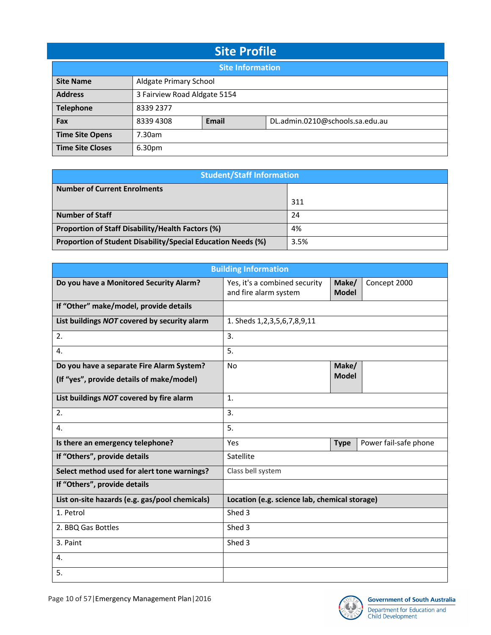| <b>Site Profile</b>     |                              |              |                                 |
|-------------------------|------------------------------|--------------|---------------------------------|
| <b>Site Information</b> |                              |              |                                 |
| <b>Site Name</b>        | Aldgate Primary School       |              |                                 |
| <b>Address</b>          | 3 Fairview Road Aldgate 5154 |              |                                 |
| <b>Telephone</b>        | 8339 2377                    |              |                                 |
| Fax                     | 8339 4308                    | <b>Email</b> | DL.admin.0210@schools.sa.edu.au |
| <b>Time Site Opens</b>  | 7.30am                       |              |                                 |
| <b>Time Site Closes</b> | 6.30pm                       |              |                                 |

| <b>Student/Staff Information</b>                             |      |  |
|--------------------------------------------------------------|------|--|
| <b>Number of Current Enrolments</b>                          |      |  |
|                                                              | 311  |  |
| <b>Number of Staff</b>                                       | 24   |  |
| Proportion of Staff Disability/Health Factors (%)            | 4%   |  |
| Proportion of Student Disability/Special Education Needs (%) | 3.5% |  |

|                                                | <b>Building Information</b>                                                                     |              |  |
|------------------------------------------------|-------------------------------------------------------------------------------------------------|--------------|--|
| Do you have a Monitored Security Alarm?        | Yes, it's a combined security<br>Make/<br>Concept 2000<br>and fire alarm system<br><b>Model</b> |              |  |
| If "Other" make/model, provide details         |                                                                                                 |              |  |
| List buildings NOT covered by security alarm   | 1. Sheds 1, 2, 3, 5, 6, 7, 8, 9, 11                                                             |              |  |
| 2.                                             | 3.                                                                                              |              |  |
| $\overline{4}$ .                               | 5.                                                                                              |              |  |
| Do you have a separate Fire Alarm System?      | <b>No</b>                                                                                       | Make/        |  |
| (If "yes", provide details of make/model)      |                                                                                                 | <b>Model</b> |  |
| List buildings NOT covered by fire alarm       | 1.                                                                                              |              |  |
| 2.                                             | 3.                                                                                              |              |  |
| 4.                                             | 5.                                                                                              |              |  |
| Is there an emergency telephone?               | Power fail-safe phone<br>Yes<br><b>Type</b>                                                     |              |  |
| If "Others", provide details                   | Satellite                                                                                       |              |  |
| Select method used for alert tone warnings?    | Class bell system                                                                               |              |  |
| If "Others", provide details                   |                                                                                                 |              |  |
| List on-site hazards (e.g. gas/pool chemicals) | Location (e.g. science lab, chemical storage)                                                   |              |  |
| 1. Petrol                                      | Shed 3                                                                                          |              |  |
| 2. BBQ Gas Bottles                             | Shed 3                                                                                          |              |  |
| 3. Paint                                       | Shed 3                                                                                          |              |  |
| 4.                                             |                                                                                                 |              |  |
| 5.                                             |                                                                                                 |              |  |

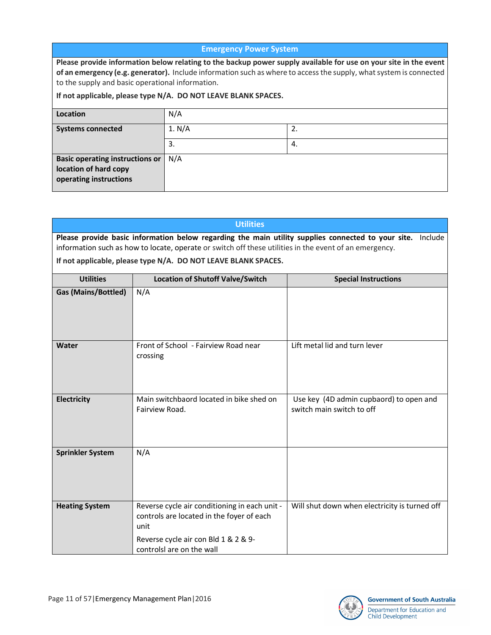| <b>Emergency Power System</b> |  |
|-------------------------------|--|
|                               |  |

**Please provide information below relating to the backup power supply available for use on your site in the event of an emergency (e.g. generator).** Include information such as where to access the supply, what system is connected to the supply and basic operational information.

**If not applicable, please type N/A. DO NOT LEAVE BLANK SPACES.**

| Location                                                                                  | N/A    |    |
|-------------------------------------------------------------------------------------------|--------|----|
| <b>Systems connected</b>                                                                  | 1. N/A | 2. |
|                                                                                           | 3.     | 4. |
| <b>Basic operating instructions or</b><br>location of hard copy<br>operating instructions | N/A    |    |

|                                                                                                                                                                                                                      | <b>Utilities</b>                                                                                                                                                        |                                                                      |
|----------------------------------------------------------------------------------------------------------------------------------------------------------------------------------------------------------------------|-------------------------------------------------------------------------------------------------------------------------------------------------------------------------|----------------------------------------------------------------------|
| Please provide basic information below regarding the main utility supplies connected to your site. Include<br>information such as how to locate, operate or switch off these utilities in the event of an emergency. |                                                                                                                                                                         |                                                                      |
|                                                                                                                                                                                                                      | If not applicable, please type N/A. DO NOT LEAVE BLANK SPACES.                                                                                                          |                                                                      |
| <b>Utilities</b>                                                                                                                                                                                                     | <b>Location of Shutoff Valve/Switch</b>                                                                                                                                 | <b>Special Instructions</b>                                          |
| <b>Gas (Mains/Bottled)</b>                                                                                                                                                                                           | N/A                                                                                                                                                                     |                                                                      |
| Water                                                                                                                                                                                                                | Front of School - Fairview Road near<br>crossing                                                                                                                        | Lift metal lid and turn lever                                        |
| Electricity                                                                                                                                                                                                          | Main switchbaord located in bike shed on<br>Fairview Road.                                                                                                              | Use key (4D admin cupbaord) to open and<br>switch main switch to off |
| <b>Sprinkler System</b>                                                                                                                                                                                              | N/A                                                                                                                                                                     |                                                                      |
| <b>Heating System</b>                                                                                                                                                                                                | Reverse cycle air conditioning in each unit -<br>controls are located in the foyer of each<br>unit<br>Reverse cycle air con Bld 1 & 2 & 9-<br>controlsl are on the wall | Will shut down when electricity is turned off                        |



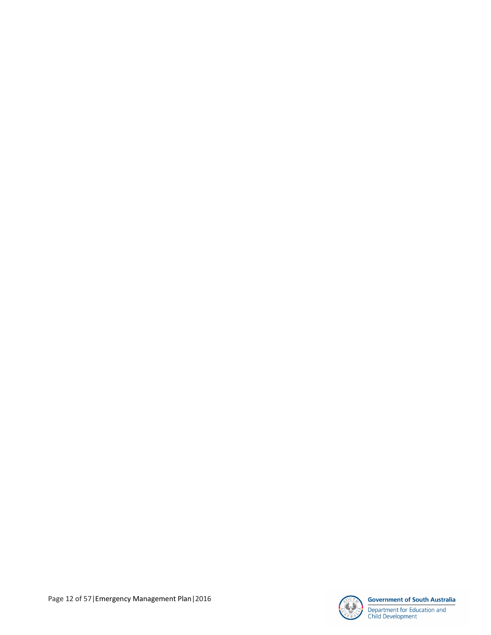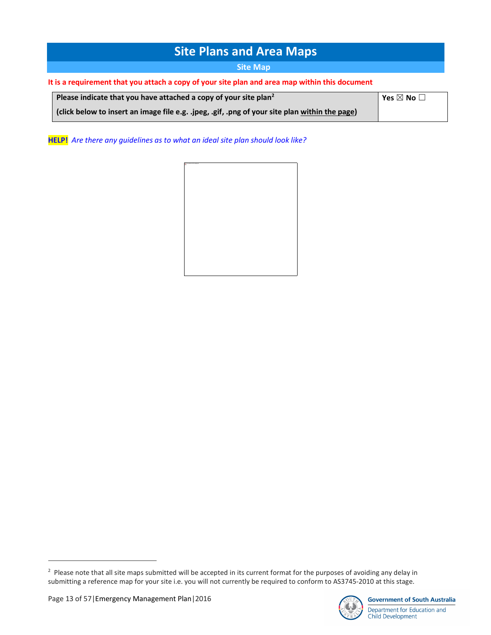### **Site Plans and Area Maps**

**Site Map** 

#### **It is a requirement that you attach a copy of your site plan and area map within this document**

**Please indicate that you have attached a copy of your site plan<sup>2</sup>**

**(click below to insert an image file e.g. .jpeg, .gif, .png of your site plan within the page)** 

**Yes** ☒ **No** ☐

**HELP!** *Are there any guidelines as to what an ideal site plan should look like?* 



.



<sup>&</sup>lt;sup>2</sup> Please note that all site maps submitted will be accepted in its current format for the purposes of avoiding any delay in submitting a reference map for your site i.e. you will not currently be required to conform to AS3745-2010 at this stage.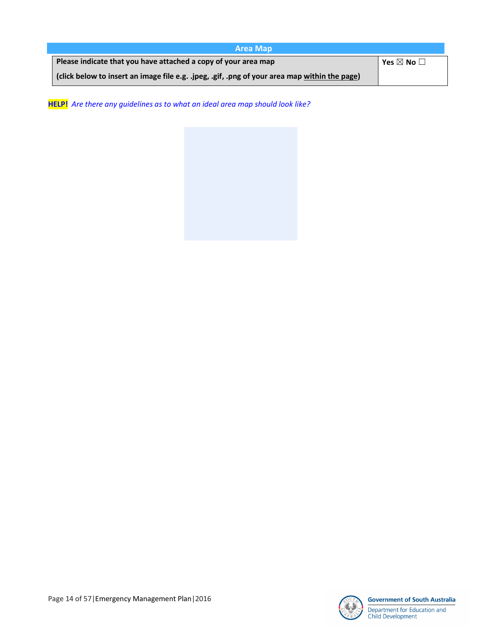| <b>Area Map</b>                                                                               |                           |
|-----------------------------------------------------------------------------------------------|---------------------------|
| Please indicate that you have attached a copy of your area map                                | Yes $\boxtimes$ No $\Box$ |
| (click below to insert an image file e.g. .jpeg, .gif, .png of your area map within the page) |                           |

**HELP!** *Are there any guidelines as to what an ideal area map should look like?* 

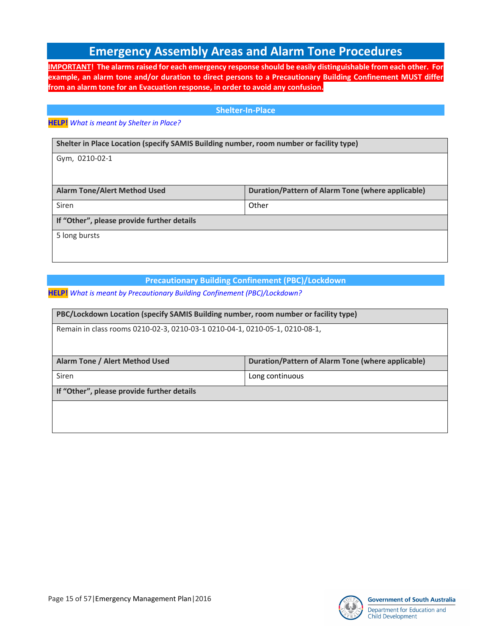### **Emergency Assembly Areas and Alarm Tone Procedures**

**IMPORTANT! The alarms raised for each emergency response should be easily distinguishable from each other. For example, an alarm tone and/or duration to direct persons to a Precautionary Building Confinement MUST differ from an alarm tone for an Evacuation response, in order to avoid any confusion.** 

#### **Shelter-In-Place**

**HELP!** *What is meant by Shelter in Place?*

#### **Shelter in Place Location (specify SAMIS Building number, room number or facility type)**

Gym, 0210-02-1

| <b>Alarm Tone/Alert Method Used</b>        | Duration/Pattern of Alarm Tone (where applicable) |
|--------------------------------------------|---------------------------------------------------|
| Siren                                      | Other                                             |
| If "Other", please provide further details |                                                   |
| 5 long bursts                              |                                                   |

#### **Precautionary Building Confinement (PBC)/Lockdown**

**HELP!** *What is meant by Precautionary Building Confinement (PBC)/Lockdown?*

| PBC/Lockdown Location (specify SAMIS Building number, room number or facility type) |                                                   |  |
|-------------------------------------------------------------------------------------|---------------------------------------------------|--|
| Remain in class rooms 0210-02-3, 0210-03-1 0210-04-1, 0210-05-1, 0210-08-1,         |                                                   |  |
| <b>Alarm Tone / Alert Method Used</b>                                               | Duration/Pattern of Alarm Tone (where applicable) |  |
| Siren                                                                               | Long continuous                                   |  |
| If "Other", please provide further details                                          |                                                   |  |
|                                                                                     |                                                   |  |
|                                                                                     |                                                   |  |



Department for Education and Child Development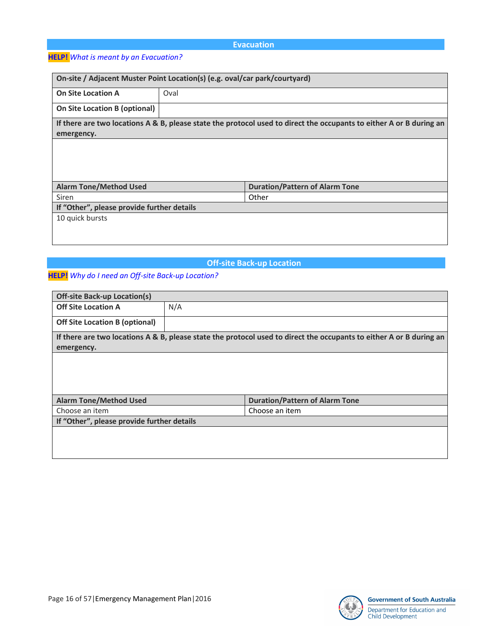#### **Evacuation**

#### **HELP!** *What is meant by an Evacuation?*

| On-site / Adjacent Muster Point Location(s) (e.g. oval/car park/courtyard) |                                                                                                                     |  |
|----------------------------------------------------------------------------|---------------------------------------------------------------------------------------------------------------------|--|
| <b>On Site Location A</b>                                                  | Oval                                                                                                                |  |
| <b>On Site Location B (optional)</b>                                       |                                                                                                                     |  |
|                                                                            | If there are two locations A & B, please state the protocol used to direct the occupants to either A or B during an |  |
| emergency.                                                                 |                                                                                                                     |  |
|                                                                            |                                                                                                                     |  |
| <b>Alarm Tone/Method Used</b>                                              | <b>Duration/Pattern of Alarm Tone</b>                                                                               |  |
| Siren                                                                      | Other                                                                                                               |  |
| If "Other", please provide further details                                 |                                                                                                                     |  |
| 10 quick bursts                                                            |                                                                                                                     |  |
|                                                                            |                                                                                                                     |  |

#### **Off-site Back-up Location**

#### **HELP!** *Why do I need an Off-site Back-up Location?*

| <b>Off-site Back-up Location(s)</b>        |                                                                                                                     |                                       |  |
|--------------------------------------------|---------------------------------------------------------------------------------------------------------------------|---------------------------------------|--|
| <b>Off Site Location A</b>                 | N/A                                                                                                                 |                                       |  |
| <b>Off Site Location B (optional)</b>      |                                                                                                                     |                                       |  |
| emergency.                                 | If there are two locations A & B, please state the protocol used to direct the occupants to either A or B during an |                                       |  |
|                                            |                                                                                                                     |                                       |  |
|                                            |                                                                                                                     |                                       |  |
| <b>Alarm Tone/Method Used</b>              |                                                                                                                     | <b>Duration/Pattern of Alarm Tone</b> |  |
| Choose an item                             |                                                                                                                     | Choose an item                        |  |
| If "Other", please provide further details |                                                                                                                     |                                       |  |
|                                            |                                                                                                                     |                                       |  |
|                                            |                                                                                                                     |                                       |  |
|                                            |                                                                                                                     |                                       |  |



Department for Education and<br>Child Development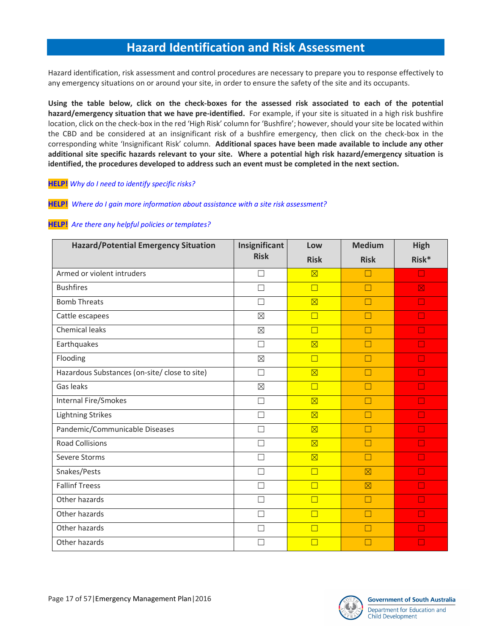### **Hazard Identification and Risk Assessment**

Hazard identification, risk assessment and control procedures are necessary to prepare you to response effectively to any emergency situations on or around your site, in order to ensure the safety of the site and its occupants.

**Using the table below, click on the check-boxes for the assessed risk associated to each of the potential hazard/emergency situation that we have pre-identified.** For example, if your site is situated in a high risk bushfire location, click on the check-box in the red 'High Risk' column for 'Bushfire'; however, should your site be located within the CBD and be considered at an insignificant risk of a bushfire emergency, then click on the check-box in the corresponding white 'Insignificant Risk' column. **Additional spaces have been made available to include any other additional site specific hazards relevant to your site. Where a potential high risk hazard/emergency situation is identified, the procedures developed to address such an event must be completed in the next section.**

**HELP!** *Why do I need to identify specific risks?*

**HELP!** *Where do I gain more information about assistance with a site risk assessment?*

#### **HELP!** *Are there any helpful policies or templates?*

| <b>Hazard/Potential Emergency Situation</b>   | Insignificant | Low                    | <b>Medium</b> | <b>High</b> |
|-----------------------------------------------|---------------|------------------------|---------------|-------------|
|                                               | <b>Risk</b>   | <b>Risk</b>            | <b>Risk</b>   | Risk*       |
| Armed or violent intruders                    | П             | $\overline{\boxtimes}$ | n.            |             |
| <b>Bushfires</b>                              | П             | $\Box$                 | $\Box$        | $\boxtimes$ |
| <b>Bomb Threats</b>                           | ┓             | $\overline{\boxtimes}$ | T,            | П           |
| Cattle escapees                               | $\boxtimes$   | $\Box$                 | П             | П           |
| <b>Chemical leaks</b>                         | $\boxtimes$   | $\Box$                 | П             | П           |
| Earthquakes                                   | П             | $\overline{\boxtimes}$ | П             | П           |
| Flooding                                      | $\boxtimes$   | $\Box$                 | П             | $\Box$      |
| Hazardous Substances (on-site/ close to site) | $\Box$        | $\overline{\boxtimes}$ | $\Box$        | П           |
| Gas leaks                                     | $\boxtimes$   | $\Box$                 | J.            |             |
| Internal Fire/Smokes                          | П             | $\overline{\boxtimes}$ | П             | ш           |
| Lightning Strikes                             | П             | $\overline{\boxtimes}$ | П             | П           |
| Pandemic/Communicable Diseases                | $\Box$        | $\overline{\boxtimes}$ | $\Box$        | $\Box$      |
| <b>Road Collisions</b>                        | П             | $\overline{\boxtimes}$ | П             | $\Box$      |
| Severe Storms                                 | П             | $\overline{\boxtimes}$ | П             | $\sim$      |
| Snakes/Pests                                  | $\Box$        | $\Box$                 | $\boxtimes$   | П           |
| <b>Fallinf Treess</b>                         | П             | $\Box$                 | $\boxtimes$   | П           |
| Other hazards                                 | П             | $\Box$                 | П             | D           |
| Other hazards                                 | П             | $\Box$                 | $\Box$        | $\Box$      |
| Other hazards                                 | П             | $\Box$                 | m.            | l.          |
| Other hazards                                 | $\mathcal{L}$ | $\Box$                 | П             |             |



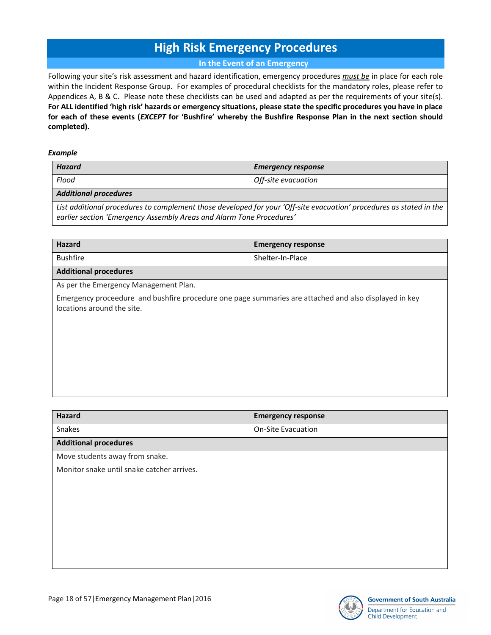### **High Risk Emergency Procedures**

**In the Event of an Emergency** 

Following your site's risk assessment and hazard identification, emergency procedures *must be* in place for each role within the Incident Response Group. For examples of procedural checklists for the mandatory roles, please refer to Appendices A, B & C. Please note these checklists can be used and adapted as per the requirements of your site(s). **For ALL identified 'high risk' hazards or emergency situations, please state the specific procedures you have in place for each of these events (***EXCEPT* **for 'Bushfire' whereby the Bushfire Response Plan in the next section should completed).** 

#### *Example*

| Hazard                   | <b>Emergency response</b> |
|--------------------------|---------------------------|
| Flood                    | Off-site evacuation       |
| Additional monocological |                           |

*Additional procedures* 

*List additional procedures to complement those developed for your 'Off-site evacuation' procedures as stated in the earlier section 'Emergency Assembly Areas and Alarm Tone Procedures'* 

| <b>Hazard</b>                         | <b>Emergency response</b> |
|---------------------------------------|---------------------------|
| <b>Bushfire</b>                       | Shelter-In-Place          |
| <b>Additional procedures</b>          |                           |
| As per the Emergency Management Plan. |                           |

Emergency proceedure and bushfire procedure one page summaries are attached and also displayed in key locations around the site.

| Hazard                                     | <b>Emergency response</b> |
|--------------------------------------------|---------------------------|
| Snakes                                     | On-Site Evacuation        |
| <b>Additional procedures</b>               |                           |
| Move students away from snake.             |                           |
| Monitor snake until snake catcher arrives. |                           |
|                                            |                           |
|                                            |                           |
|                                            |                           |
|                                            |                           |
|                                            |                           |
|                                            |                           |
|                                            |                           |

Child Development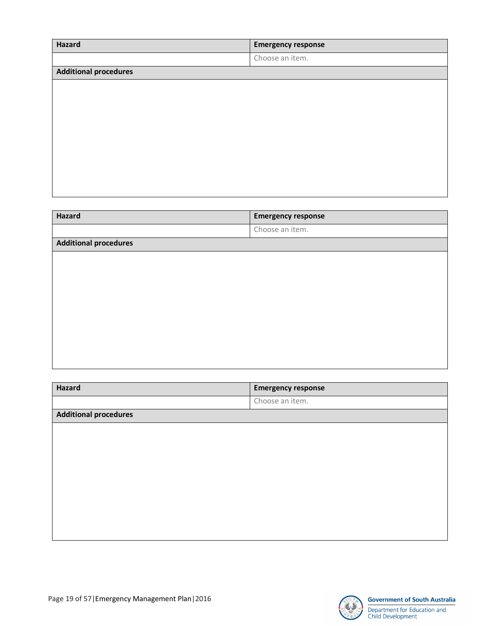| <b>Hazard</b>                | <b>Emergency response</b> |
|------------------------------|---------------------------|
|                              | Choose an item.           |
| <b>Additional procedures</b> |                           |
|                              |                           |
|                              |                           |
|                              |                           |
|                              |                           |
|                              |                           |
|                              |                           |
|                              |                           |
|                              |                           |
|                              |                           |

| <b>Hazard</b>                | <b>Emergency response</b> |
|------------------------------|---------------------------|
|                              | Choose an item.           |
| <b>Additional procedures</b> |                           |
|                              |                           |
|                              |                           |
|                              |                           |
|                              |                           |
|                              |                           |
|                              |                           |
|                              |                           |
|                              |                           |
|                              |                           |

| Hazard                       | <b>Emergency response</b> |
|------------------------------|---------------------------|
|                              | Choose an item.           |
| <b>Additional procedures</b> |                           |
|                              |                           |
|                              |                           |
|                              |                           |
|                              |                           |
|                              |                           |
|                              |                           |
|                              |                           |
|                              |                           |
|                              |                           |



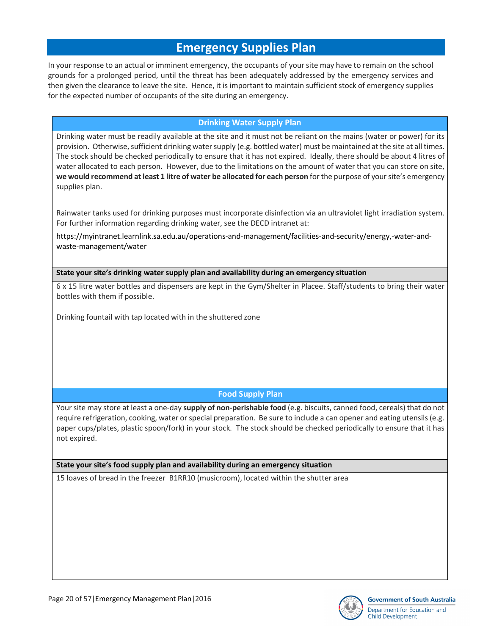### **Emergency Supplies Plan**

In your response to an actual or imminent emergency, the occupants of your site may have to remain on the school grounds for a prolonged period, until the threat has been adequately addressed by the emergency services and then given the clearance to leave the site. Hence, it is important to maintain sufficient stock of emergency supplies for the expected number of occupants of the site during an emergency.

#### **Drinking Water Supply Plan**

Drinking water must be readily available at the site and it must not be reliant on the mains (water or power) for its provision. Otherwise, sufficient drinking water supply (e.g. bottled water) must be maintained at the site at all times. The stock should be checked periodically to ensure that it has not expired. Ideally, there should be about 4 litres of water allocated to each person. However, due to the limitations on the amount of water that you can store on site, **we would recommend at least 1 litre of water be allocated for each person** for the purpose of your site's emergency supplies plan.

Rainwater tanks used for drinking purposes must incorporate disinfection via an ultraviolet light irradiation system. For further information regarding drinking water, see the DECD intranet at:

https://myintranet.learnlink.sa.edu.au/operations-and-management/facilities-and-security/energy,-water-andwaste-management/water

**State your site's drinking water supply plan and availability during an emergency situation** 

6 x 15 litre water bottles and dispensers are kept in the Gym/Shelter in Placee. Staff/students to bring their water bottles with them if possible.

Drinking fountail with tap located with in the shuttered zone

#### **Food Supply Plan**

Your site may store at least a one-day **supply of non-perishable food** (e.g. biscuits, canned food, cereals) that do not require refrigeration, cooking, water or special preparation. Be sure to include a can opener and eating utensils (e.g. paper cups/plates, plastic spoon/fork) in your stock. The stock should be checked periodically to ensure that it has not expired.

**State your site's food supply plan and availability during an emergency situation** 

15 loaves of bread in the freezer B1RR10 (musicroom), located within the shutter area

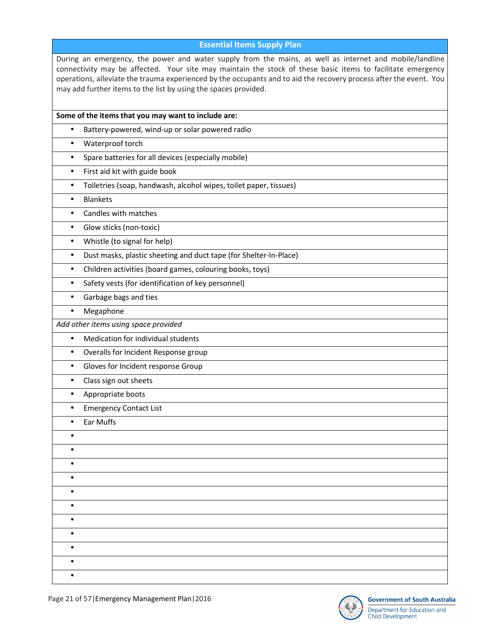#### **Essential Items Supply Plan**

During an emergency, the power and water supply from the mains, as well as internet and mobile/landline connectivity may be affected. Your site may maintain the stock of these basic items to facilitate emergency operations, alleviate the trauma experienced by the occupants and to aid the recovery process after the event. You may add further items to the list by using the spaces provided.

|           | Some of the items that you may want to include are:               |
|-----------|-------------------------------------------------------------------|
| $\bullet$ | Battery-powered, wind-up or solar powered radio                   |
| $\bullet$ | Waterproof torch                                                  |
| $\bullet$ | Spare batteries for all devices (especially mobile)               |
| $\bullet$ | First aid kit with guide book                                     |
| $\bullet$ | Toiletries (soap, handwash, alcohol wipes, toilet paper, tissues) |
| $\bullet$ | <b>Blankets</b>                                                   |
| $\bullet$ | Candles with matches                                              |
| $\bullet$ | Glow sticks (non-toxic)                                           |
| $\bullet$ | Whistle (to signal for help)                                      |
| $\bullet$ | Dust masks, plastic sheeting and duct tape (for Shelter-In-Place) |
| $\bullet$ | Children activities (board games, colouring books, toys)          |
| $\bullet$ | Safety vests (for identification of key personnel)                |
| $\bullet$ | Garbage bags and ties                                             |
| $\bullet$ | Megaphone                                                         |
|           | Add other items using space provided                              |
| $\bullet$ | Medication for individual students                                |
| $\bullet$ | Overalls for Incident Response group                              |
| $\bullet$ | Gloves for Incident response Group                                |
| $\bullet$ | Class sign out sheets                                             |
| $\bullet$ | Appropriate boots                                                 |
| $\bullet$ | <b>Emergency Contact List</b>                                     |
| $\bullet$ | Ear Muffs                                                         |
| $\bullet$ |                                                                   |
| $\bullet$ |                                                                   |
|           |                                                                   |
|           |                                                                   |
|           |                                                                   |
|           |                                                                   |
|           |                                                                   |
|           |                                                                   |
|           |                                                                   |
|           |                                                                   |
|           |                                                                   |



Child Development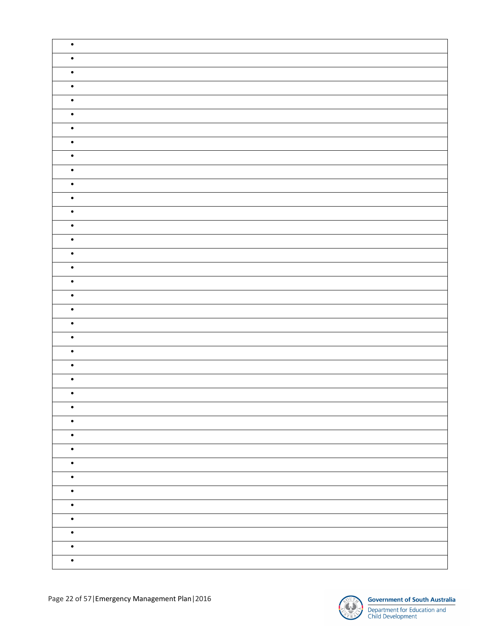| ٠         |  |
|-----------|--|
| ٠         |  |
|           |  |
|           |  |
|           |  |
| ٠         |  |
|           |  |
| ٠         |  |
|           |  |
| ٠         |  |
| ٠         |  |
| $\bullet$ |  |
| ٠         |  |
|           |  |
| ٠         |  |
| ٠         |  |
| ٠         |  |
|           |  |
|           |  |
| $\bullet$ |  |
| ٠         |  |
| ٠         |  |
|           |  |
|           |  |
|           |  |
|           |  |
| ٠         |  |
|           |  |
| $\bullet$ |  |
| ٠         |  |
| $\bullet$ |  |
| ٠         |  |
|           |  |
| $\bullet$ |  |
| $\bullet$ |  |
| ٠         |  |
| ٠         |  |
|           |  |

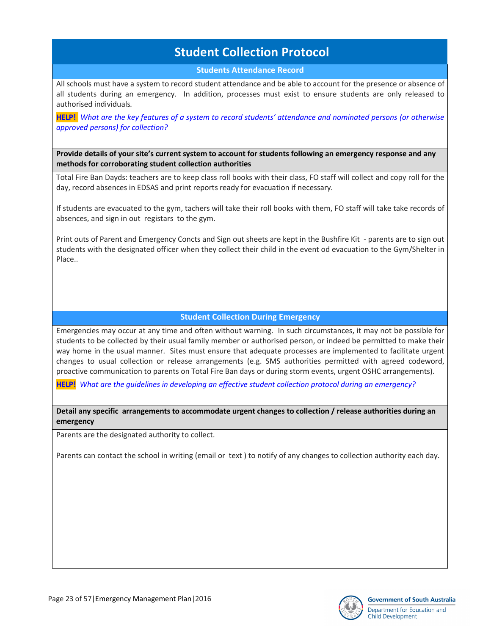### **Student Collection Protocol**

#### **Students Attendance Record**

All schools must have a system to record student attendance and be able to account for the presence or absence of all students during an emergency. In addition, processes must exist to ensure students are only released to authorised individuals*.*

**HELP!** *What are the key features of a system to record students' attendance and nominated persons (or otherwise approved persons) for collection?*

**Provide details of your site's current system to account for students following an emergency response and any methods for corroborating student collection authorities** 

Total Fire Ban Dayds: teachers are to keep class roll books with their class, FO staff will collect and copy roll for the day, record absences in EDSAS and print reports ready for evacuation if necessary.

If students are evacuated to the gym, tachers will take their roll books with them, FO staff will take take records of absences, and sign in out registars to the gym.

Print outs of Parent and Emergency Concts and Sign out sheets are kept in the Bushfire Kit - parents are to sign out students with the designated officer when they collect their child in the event od evacuation to the Gym/Shelter in Place..

#### **Student Collection During Emergency**

Emergencies may occur at any time and often without warning. In such circumstances, it may not be possible for students to be collected by their usual family member or authorised person, or indeed be permitted to make their way home in the usual manner. Sites must ensure that adequate processes are implemented to facilitate urgent changes to usual collection or release arrangements (e.g. SMS authorities permitted with agreed codeword, proactive communication to parents on Total Fire Ban days or during storm events, urgent OSHC arrangements).

**HELP!** *What are the guidelines in developing an effective student collection protocol during an emergency?*

**Detail any specific arrangements to accommodate urgent changes to collection / release authorities during an emergency** 

Parents are the designated authority to collect.

Parents can contact the school in writing (email or text ) to notify of any changes to collection authority each day.

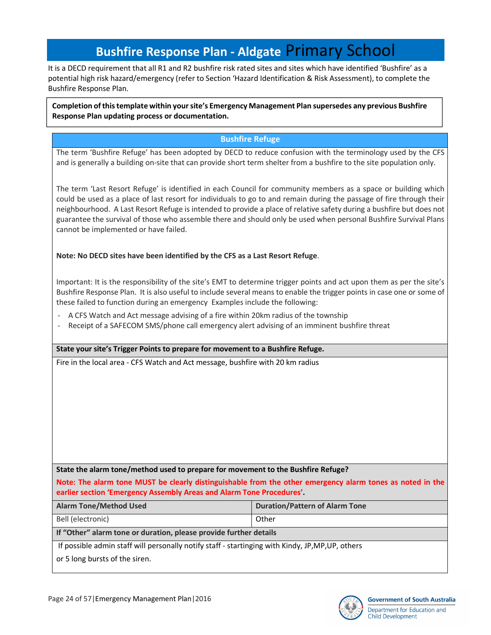## **Bushfire Response Plan - Aldgate** Primary School

It is a DECD requirement that all R1 and R2 bushfire risk rated sites and sites which have identified 'Bushfire' as a potential high risk hazard/emergency (refer to Section 'Hazard Identification & Risk Assessment), to complete the Bushfire Response Plan.

**Completion of this template within your site's Emergency Management Plan supersedes any previous Bushfire Response Plan updating process or documentation.**

#### **Bushfire Refuge**

The term 'Bushfire Refuge' has been adopted by DECD to reduce confusion with the terminology used by the CFS and is generally a building on-site that can provide short term shelter from a bushfire to the site population only.

The term 'Last Resort Refuge' is identified in each Council for community members as a space or building which could be used as a place of last resort for individuals to go to and remain during the passage of fire through their neighbourhood. A Last Resort Refuge is intended to provide a place of relative safety during a bushfire but does not guarantee the survival of those who assemble there and should only be used when personal Bushfire Survival Plans cannot be implemented or have failed.

#### **Note: No DECD sites have been identified by the CFS as a Last Resort Refuge**.

Important: It is the responsibility of the site's EMT to determine trigger points and act upon them as per the site's Bushfire Response Plan. It is also useful to include several means to enable the trigger points in case one or some of these failed to function during an emergency Examples include the following:

- A CFS Watch and Act message advising of a fire within 20km radius of the township
- Receipt of a SAFECOM SMS/phone call emergency alert advising of an imminent bushfire threat

#### **State your site's Trigger Points to prepare for movement to a Bushfire Refuge.**

Fire in the local area - CFS Watch and Act message, bushfire with 20 km radius

#### **State the alarm tone/method used to prepare for movement to the Bushfire Refuge?**

**Note: The alarm tone MUST be clearly distinguishable from the other emergency alarm tones as noted in the earlier section 'Emergency Assembly Areas and Alarm Tone Procedures'.** 

| <b>Alarm Tone/Method Used</b>                                                                     | <b>Duration/Pattern of Alarm Tone</b> |  |
|---------------------------------------------------------------------------------------------------|---------------------------------------|--|
| Bell (electronic)                                                                                 | Other                                 |  |
| If "Other" alarm tone or duration, please provide further details                                 |                                       |  |
| If possible admin staff will personally notify staff - startinging with Kindy, JP, MP, UP, others |                                       |  |

or 5 long bursts of the siren.

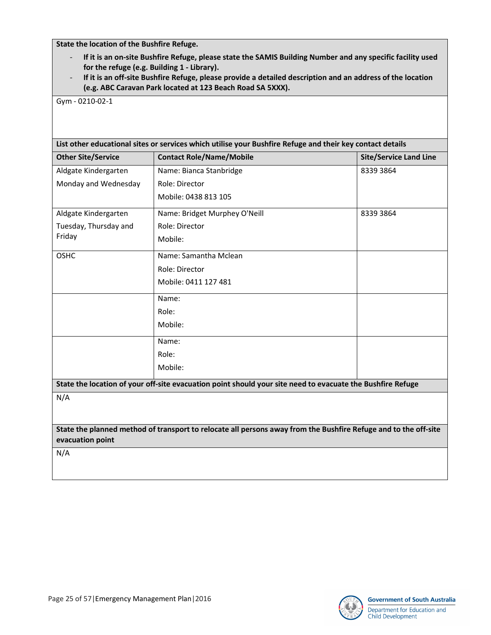**State the location of the Bushfire Refuge.** 

- **If it is an on-site Bushfire Refuge, please state the SAMIS Building Number and any specific facility used for the refuge (e.g. Building 1 - Library).**
- **If it is an off-site Bushfire Refuge, please provide a detailed description and an address of the location (e.g. ABC Caravan Park located at 123 Beach Road SA 5XXX).**

Gym - 0210-02-1

**List other educational sites or services which utilise your Bushfire Refuge and their key contact details** 

| <b>Other Site/Service</b> | <b>Contact Role/Name/Mobile</b>                                                                            | <b>Site/Service Land Line</b> |
|---------------------------|------------------------------------------------------------------------------------------------------------|-------------------------------|
| Aldgate Kindergarten      | Name: Bianca Stanbridge                                                                                    | 8339 3864                     |
| Monday and Wednesday      | Role: Director                                                                                             |                               |
|                           | Mobile: 0438 813 105                                                                                       |                               |
| Aldgate Kindergarten      | Name: Bridget Murphey O'Neill                                                                              | 8339 3864                     |
| Tuesday, Thursday and     | Role: Director                                                                                             |                               |
| Friday                    | Mobile:                                                                                                    |                               |
| <b>OSHC</b>               | Name: Samantha Mclean                                                                                      |                               |
|                           | Role: Director                                                                                             |                               |
|                           | Mobile: 0411 127 481                                                                                       |                               |
|                           | Name:                                                                                                      |                               |
|                           | Role:                                                                                                      |                               |
|                           | Mobile:                                                                                                    |                               |
|                           | Name:                                                                                                      |                               |
|                           | Role:                                                                                                      |                               |
|                           | Mobile:                                                                                                    |                               |
|                           | State the location of your off-site evacuation point should your site need to evacuate the Bushfire Refuge |                               |
| N/A                       |                                                                                                            |                               |

**State the planned method of transport to relocate all persons away from the Bushfire Refuge and to the off-site evacuation point** 

N/A

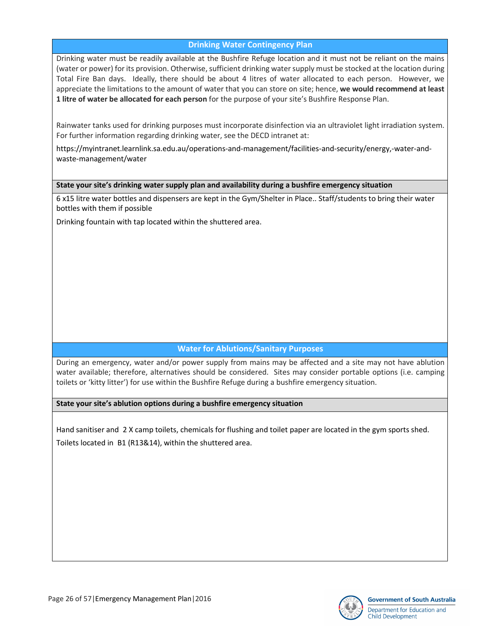#### **Drinking Water Contingency Plan**

Drinking water must be readily available at the Bushfire Refuge location and it must not be reliant on the mains (water or power) for its provision. Otherwise, sufficient drinking water supply must be stocked at the location during Total Fire Ban days. Ideally, there should be about 4 litres of water allocated to each person. However, we appreciate the limitations to the amount of water that you can store on site; hence, **we would recommend at least 1 litre of water be allocated for each person** for the purpose of your site's Bushfire Response Plan.

Rainwater tanks used for drinking purposes must incorporate disinfection via an ultraviolet light irradiation system. For further information regarding drinking water, see the DECD intranet at:

https://myintranet.learnlink.sa.edu.au/operations-and-management/facilities-and-security/energy,-water-andwaste-management/water

#### **State your site's drinking water supply plan and availability during a bushfire emergency situation**

6 x15 litre water bottles and dispensers are kept in the Gym/Shelter in Place.. Staff/students to bring their water bottles with them if possible

Drinking fountain with tap located within the shuttered area.

#### **Water for Ablutions/Sanitary Purposes**

During an emergency, water and/or power supply from mains may be affected and a site may not have ablution water available; therefore, alternatives should be considered. Sites may consider portable options (i.e. camping toilets or 'kitty litter') for use within the Bushfire Refuge during a bushfire emergency situation.

#### **State your site's ablution options during a bushfire emergency situation**

Hand sanitiser and 2 X camp toilets, chemicals for flushing and toilet paper are located in the gym sports shed. Toilets located in B1 (R13&14), within the shuttered area.

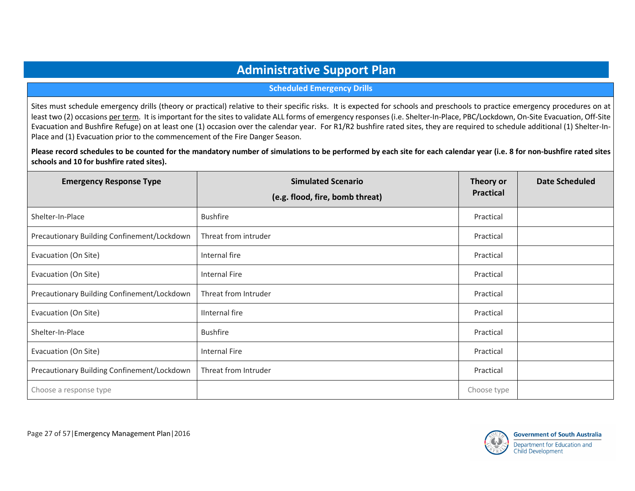### **Administrative Support Plan**

#### **Scheduled Emergency Drills**

Sites must schedule emergency drills (theory or practical) relative to their specific risks. It is expected for schools and preschools to practice emergency procedures on at least two (2) occasions per term. It is important for the sites to validate ALL forms of emergency responses (i.e. Shelter-In-Place, PBC/Lockdown, On-Site Evacuation, Off-Site Evacuation and Bushfire Refuge) on at least one (1) occasion over the calendar year. For R1/R2 bushfire rated sites, they are required to schedule additional (1) Shelter-In-Place and (1) Evacuation prior to the commencement of the Fire Danger Season.

**Please record schedules to be counted for the mandatory number of simulations to be performed by each site for each calendar year (i.e. 8 for non-bushfire rated sites schools and 10 for bushfire rated sites).**

| <b>Emergency Response Type</b>              | <b>Simulated Scenario</b><br>(e.g. flood, fire, bomb threat) | Theory or<br><b>Practical</b> | <b>Date Scheduled</b> |
|---------------------------------------------|--------------------------------------------------------------|-------------------------------|-----------------------|
| Shelter-In-Place                            | <b>Bushfire</b>                                              | Practical                     |                       |
| Precautionary Building Confinement/Lockdown | Threat from intruder                                         | Practical                     |                       |
| Evacuation (On Site)                        | Internal fire                                                | Practical                     |                       |
| Evacuation (On Site)                        | <b>Internal Fire</b>                                         | Practical                     |                       |
| Precautionary Building Confinement/Lockdown | Threat from Intruder                                         | Practical                     |                       |
| Evacuation (On Site)                        | IInternal fire                                               | Practical                     |                       |
| Shelter-In-Place                            | <b>Bushfire</b>                                              | Practical                     |                       |
| Evacuation (On Site)                        | <b>Internal Fire</b>                                         | Practical                     |                       |
| Precautionary Building Confinement/Lockdown | Threat from Intruder                                         | Practical                     |                       |
| Choose a response type                      |                                                              | Choose type                   |                       |

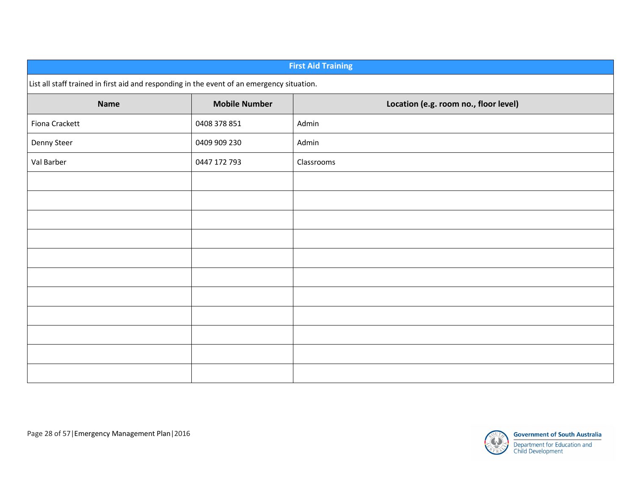| <b>First Aid Training</b>                                                                  |                      |                                       |  |  |
|--------------------------------------------------------------------------------------------|----------------------|---------------------------------------|--|--|
| List all staff trained in first aid and responding in the event of an emergency situation. |                      |                                       |  |  |
| <b>Name</b>                                                                                | <b>Mobile Number</b> | Location (e.g. room no., floor level) |  |  |
| Fiona Crackett                                                                             | 0408 378 851         | Admin                                 |  |  |
| Denny Steer                                                                                | 0409 909 230         | Admin                                 |  |  |
| Val Barber                                                                                 | 0447 172 793         | Classrooms                            |  |  |
|                                                                                            |                      |                                       |  |  |
|                                                                                            |                      |                                       |  |  |
|                                                                                            |                      |                                       |  |  |
|                                                                                            |                      |                                       |  |  |
|                                                                                            |                      |                                       |  |  |
|                                                                                            |                      |                                       |  |  |
|                                                                                            |                      |                                       |  |  |
|                                                                                            |                      |                                       |  |  |
|                                                                                            |                      |                                       |  |  |
|                                                                                            |                      |                                       |  |  |
|                                                                                            |                      |                                       |  |  |

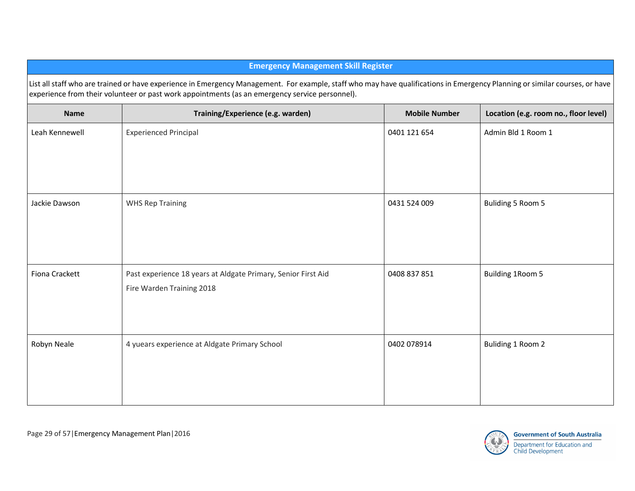#### **Emergency Management Skill Register**

List all staff who are trained or have experience in Emergency Management. For example, staff who may have qualifications in Emergency Planning or similar courses, or have experience from their volunteer or past work appointments (as an emergency service personnel).

| <b>Name</b>    | Training/Experience (e.g. warden)                                                          | <b>Mobile Number</b> | Location (e.g. room no., floor level) |  |
|----------------|--------------------------------------------------------------------------------------------|----------------------|---------------------------------------|--|
| Leah Kennewell | <b>Experienced Principal</b>                                                               | 0401 121 654         | Admin Bld 1 Room 1                    |  |
| Jackie Dawson  | <b>WHS Rep Training</b>                                                                    | 0431 524 009         | Buliding 5 Room 5                     |  |
| Fiona Crackett | Past experience 18 years at Aldgate Primary, Senior First Aid<br>Fire Warden Training 2018 | 0408 837 851         | <b>Building 1Room 5</b>               |  |
| Robyn Neale    | 4 yuears experience at Aldgate Primary School                                              | 0402 078914          | Buliding 1 Room 2                     |  |

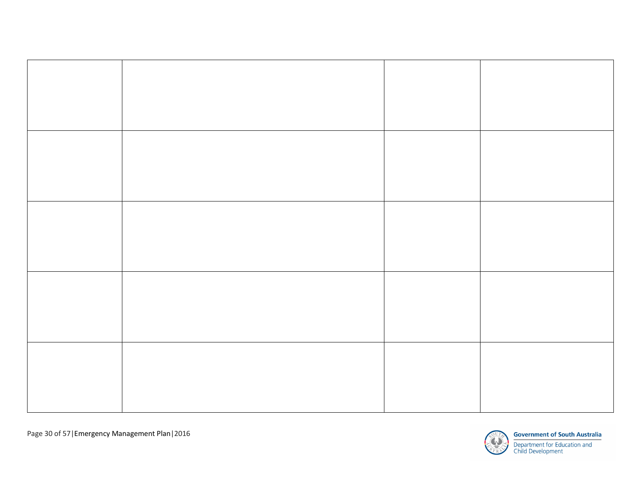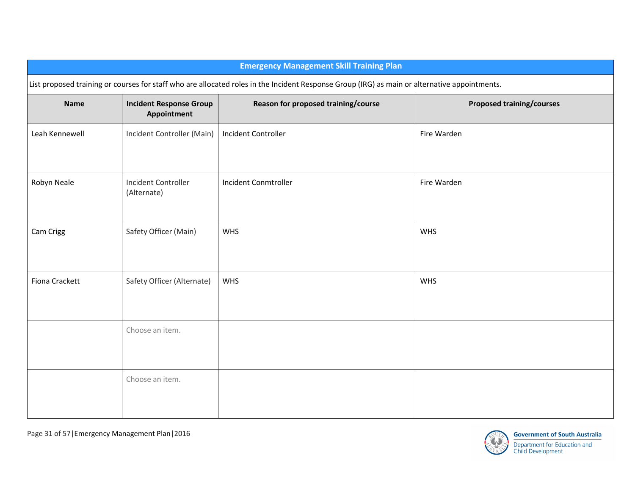| <b>Emergency Management Skill Training Plan</b>                                                                                               |                                               |                                     |                                  |  |  |  |  |
|-----------------------------------------------------------------------------------------------------------------------------------------------|-----------------------------------------------|-------------------------------------|----------------------------------|--|--|--|--|
| List proposed training or courses for staff who are allocated roles in the Incident Response Group (IRG) as main or alternative appointments. |                                               |                                     |                                  |  |  |  |  |
| <b>Name</b>                                                                                                                                   | <b>Incident Response Group</b><br>Appointment | Reason for proposed training/course | <b>Proposed training/courses</b> |  |  |  |  |
| Leah Kennewell                                                                                                                                | Incident Controller (Main)                    | <b>Incident Controller</b>          | Fire Warden                      |  |  |  |  |
| Robyn Neale                                                                                                                                   | <b>Incident Controller</b><br>(Alternate)     | Incident Conmtroller                | Fire Warden                      |  |  |  |  |
| Cam Crigg                                                                                                                                     | Safety Officer (Main)                         | <b>WHS</b>                          | <b>WHS</b>                       |  |  |  |  |
| Fiona Crackett                                                                                                                                | Safety Officer (Alternate)                    | <b>WHS</b>                          | <b>WHS</b>                       |  |  |  |  |
|                                                                                                                                               | Choose an item.                               |                                     |                                  |  |  |  |  |
|                                                                                                                                               | Choose an item.                               |                                     |                                  |  |  |  |  |

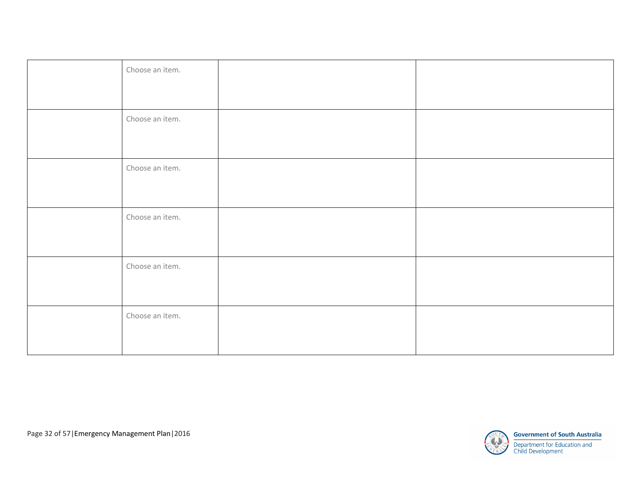| Choose an item. |  |
|-----------------|--|
|                 |  |
|                 |  |
| Choose an item. |  |
|                 |  |
|                 |  |
| Choose an item. |  |
|                 |  |
|                 |  |
| Choose an item. |  |
|                 |  |
|                 |  |
| Choose an item. |  |
|                 |  |
|                 |  |
| Choose an item. |  |
|                 |  |
|                 |  |
|                 |  |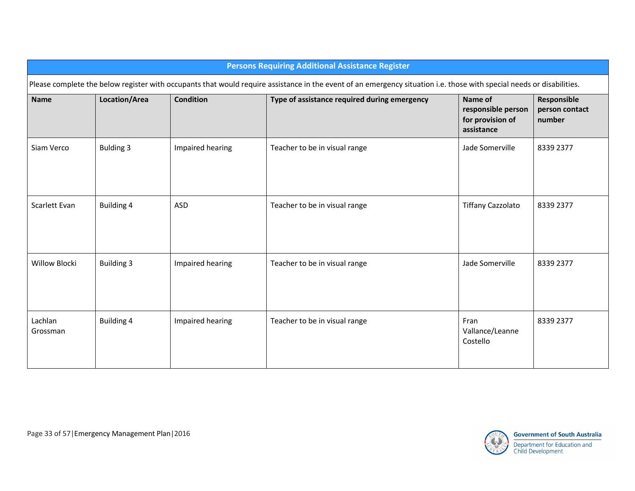| <b>Persons Requiring Additional Assistance Register</b> |                   |                  |                                                                                                                                                                       |                                                                 |                                         |
|---------------------------------------------------------|-------------------|------------------|-----------------------------------------------------------------------------------------------------------------------------------------------------------------------|-----------------------------------------------------------------|-----------------------------------------|
|                                                         |                   |                  | Please complete the below register with occupants that would require assistance in the event of an emergency situation i.e. those with special needs or disabilities. |                                                                 |                                         |
| <b>Name</b>                                             | Location/Area     | <b>Condition</b> | Type of assistance required during emergency                                                                                                                          | Name of<br>responsible person<br>for provision of<br>assistance | Responsible<br>person contact<br>number |
| Siam Verco                                              | <b>Bulding 3</b>  | Impaired hearing | Teacher to be in visual range                                                                                                                                         | Jade Somerville                                                 | 8339 2377                               |
| Scarlett Evan                                           | Building 4        | ASD              | Teacher to be in visual range                                                                                                                                         | <b>Tiffany Cazzolato</b>                                        | 8339 2377                               |
| <b>Willow Blocki</b>                                    | <b>Building 3</b> | Impaired hearing | Teacher to be in visual range                                                                                                                                         | Jade Somerville                                                 | 8339 2377                               |
| Lachlan<br>Grossman                                     | <b>Building 4</b> | Impaired hearing | Teacher to be in visual range                                                                                                                                         | Fran<br>Vallance/Leanne<br>Costello                             | 8339 2377                               |

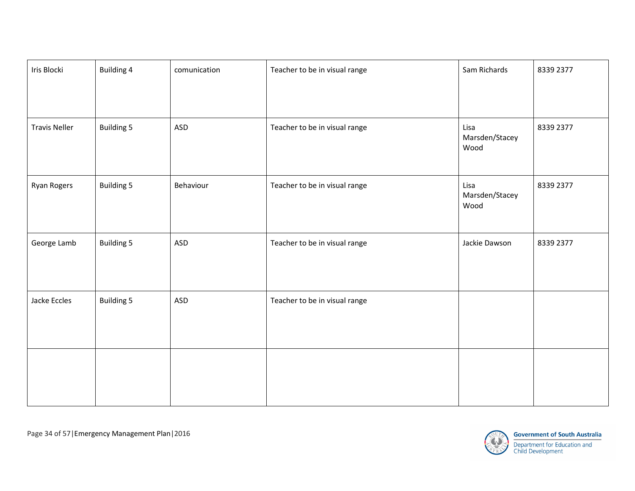| Iris Blocki          | <b>Building 4</b> | comunication | Teacher to be in visual range | Sam Richards                   | 8339 2377 |
|----------------------|-------------------|--------------|-------------------------------|--------------------------------|-----------|
| <b>Travis Neller</b> | <b>Building 5</b> | ASD          | Teacher to be in visual range | Lisa<br>Marsden/Stacey<br>Wood | 8339 2377 |
| <b>Ryan Rogers</b>   | <b>Building 5</b> | Behaviour    | Teacher to be in visual range | Lisa<br>Marsden/Stacey<br>Wood | 8339 2377 |
| George Lamb          | <b>Building 5</b> | ASD          | Teacher to be in visual range | Jackie Dawson                  | 8339 2377 |
| Jacke Eccles         | <b>Building 5</b> | <b>ASD</b>   | Teacher to be in visual range |                                |           |
|                      |                   |              |                               |                                |           |

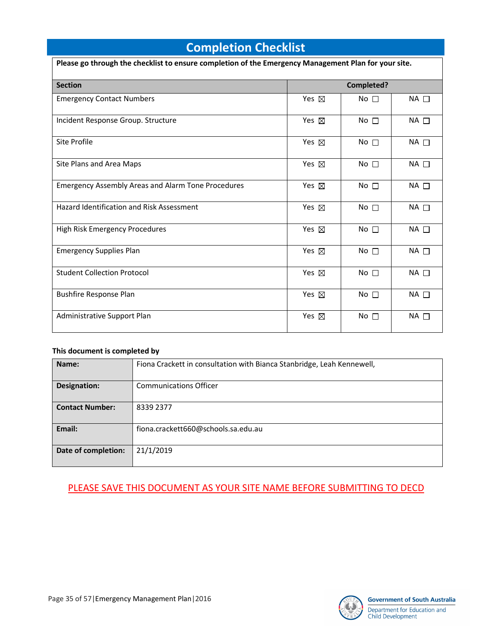## **Completion Checklist**

| Please go through the checklist to ensure completion of the Emergency Management Plan for your site. |                 |                   |                |  |
|------------------------------------------------------------------------------------------------------|-----------------|-------------------|----------------|--|
| <b>Section</b>                                                                                       |                 | <b>Completed?</b> |                |  |
| <b>Emergency Contact Numbers</b>                                                                     | Yes $\boxtimes$ | No $\square$      | $NA$ $\square$ |  |
| Incident Response Group. Structure                                                                   | Yes $\boxtimes$ | No $\square$      | $NA$ $\square$ |  |
| <b>Site Profile</b>                                                                                  | Yes $\boxtimes$ | $No \ \Box$       | $NA$ $\square$ |  |
| Site Plans and Area Maps                                                                             | Yes $\boxtimes$ | No $\square$      | $NA$ $\square$ |  |
| <b>Emergency Assembly Areas and Alarm Tone Procedures</b>                                            | Yes ⊠           | $No$ $\Box$       | $NA$ $\square$ |  |
| Hazard Identification and Risk Assessment                                                            | Yes $\boxtimes$ | No $\square$      | $NA$ $\square$ |  |
| High Risk Emergency Procedures                                                                       | Yes $\boxtimes$ | No $\square$      | $NA$ $\square$ |  |
| <b>Emergency Supplies Plan</b>                                                                       | Yes $\boxtimes$ | No $\square$      | $NA$ $\square$ |  |
| <b>Student Collection Protocol</b>                                                                   | Yes $\boxtimes$ | No $\square$      | $NA$ $\square$ |  |
| <b>Bushfire Response Plan</b>                                                                        | Yes $\boxtimes$ | No $\square$      | $NA$ $\square$ |  |
| Administrative Support Plan                                                                          | Yes $\boxtimes$ | $No$ $\Box$       | $NA$ $\square$ |  |

#### **This document is completed by**

| Name:                  | Fiona Crackett in consultation with Bianca Stanbridge, Leah Kennewell, |
|------------------------|------------------------------------------------------------------------|
| Designation:           | <b>Communications Officer</b>                                          |
| <b>Contact Number:</b> | 8339 2377                                                              |
| Email:                 | fiona.crackett660@schools.sa.edu.au                                    |
| Date of completion:    | 21/1/2019                                                              |

#### PLEASE SAVE THIS DOCUMENT AS YOUR SITE NAME BEFORE SUBMITTING TO DECD

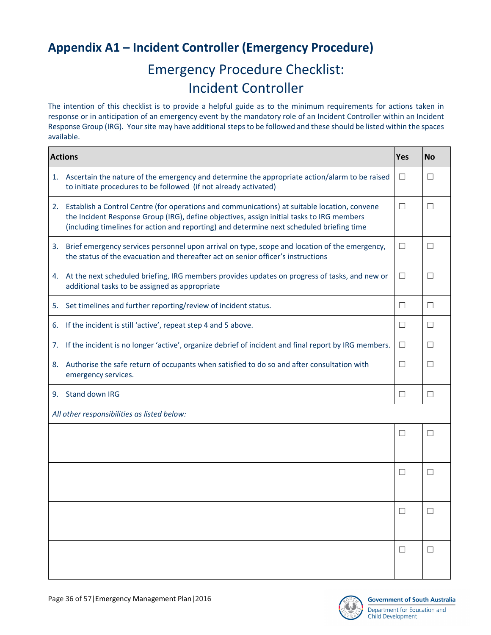# **Appendix A1 – Incident Controller (Emergency Procedure)**

# Emergency Procedure Checklist: Incident Controller

The intention of this checklist is to provide a helpful guide as to the minimum requirements for actions taken in response or in anticipation of an emergency event by the mandatory role of an Incident Controller within an Incident Response Group (IRG). Your site may have additional steps to be followed and these should be listed within the spaces available.

|                                             | <b>Actions</b>                                                                                                                                                                                                                                                                            | <b>Yes</b>               | <b>No</b> |
|---------------------------------------------|-------------------------------------------------------------------------------------------------------------------------------------------------------------------------------------------------------------------------------------------------------------------------------------------|--------------------------|-----------|
| 1.                                          | Ascertain the nature of the emergency and determine the appropriate action/alarm to be raised<br>to initiate procedures to be followed (if not already activated)                                                                                                                         | ш                        | П         |
|                                             | 2. Establish a Control Centre (for operations and communications) at suitable location, convene<br>the Incident Response Group (IRG), define objectives, assign initial tasks to IRG members<br>(including timelines for action and reporting) and determine next scheduled briefing time | $\Box$                   | □         |
|                                             | 3. Brief emergency services personnel upon arrival on type, scope and location of the emergency,<br>the status of the evacuation and thereafter act on senior officer's instructions                                                                                                      | $\Box$                   | П         |
|                                             | 4. At the next scheduled briefing, IRG members provides updates on progress of tasks, and new or<br>additional tasks to be assigned as appropriate                                                                                                                                        | ப                        | П         |
|                                             | 5. Set timelines and further reporting/review of incident status.                                                                                                                                                                                                                         | $\Box$                   | $\Box$    |
| 6.                                          | If the incident is still 'active', repeat step 4 and 5 above.                                                                                                                                                                                                                             | $\Box$                   | П         |
|                                             | 7. If the incident is no longer 'active', organize debrief of incident and final report by IRG members.                                                                                                                                                                                   | $\Box$                   | П         |
|                                             | 8. Authorise the safe return of occupants when satisfied to do so and after consultation with<br>emergency services.                                                                                                                                                                      | $\Box$                   | $\perp$   |
|                                             | 9. Stand down IRG                                                                                                                                                                                                                                                                         | $\Box$                   | $\Box$    |
| All other responsibilities as listed below: |                                                                                                                                                                                                                                                                                           |                          |           |
|                                             |                                                                                                                                                                                                                                                                                           | Ш                        | П         |
|                                             |                                                                                                                                                                                                                                                                                           | Ш                        | П         |
|                                             |                                                                                                                                                                                                                                                                                           | $\overline{\phantom{0}}$ |           |
|                                             |                                                                                                                                                                                                                                                                                           | Ш                        |           |

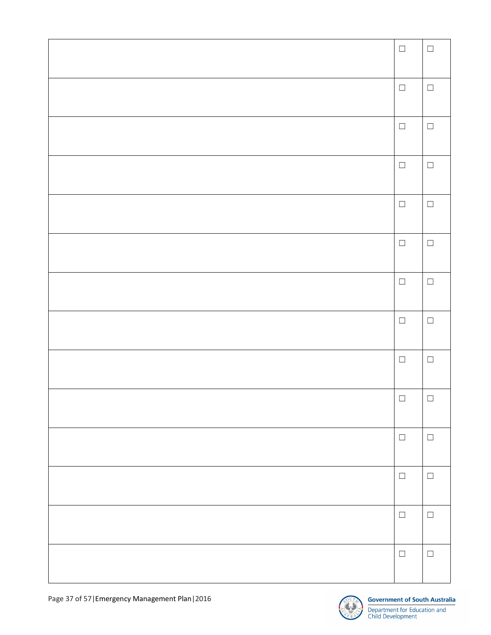| $\Box$           | $\Box$ |
|------------------|--------|
| $\Box$           | $\Box$ |
| $\hfill \square$ | $\Box$ |
| $\Box$           | $\Box$ |
| $\Box$           | $\Box$ |
| $\Box$           | $\Box$ |
| $\hfill \square$ | $\Box$ |
| $\hfill \square$ | $\Box$ |
| $\Box$           | $\Box$ |
| $\Box$           | $\Box$ |
| $\Box$           | $\Box$ |
| $\hfill \square$ | $\Box$ |
| $\hfill \square$ | $\Box$ |
| $\Box$           | $\Box$ |

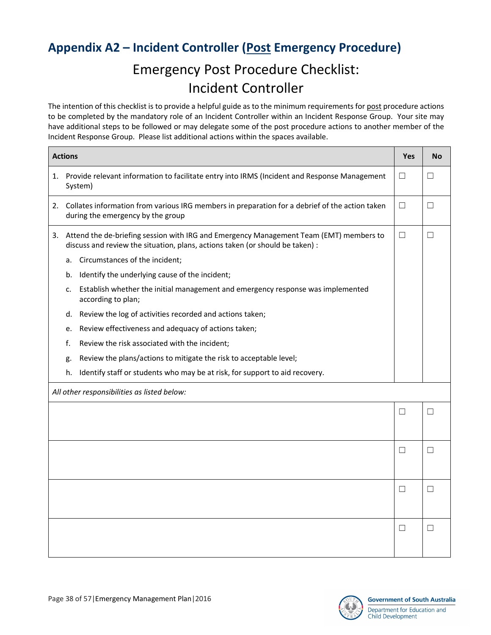## **Appendix A2 – Incident Controller (Post Emergency Procedure)**

# Emergency Post Procedure Checklist: Incident Controller

The intention of this checklist is to provide a helpful guide as to the minimum requirements for post procedure actions to be completed by the mandatory role of an Incident Controller within an Incident Response Group. Your site may have additional steps to be followed or may delegate some of the post procedure actions to another member of the Incident Response Group. Please list additional actions within the spaces available.

| <b>Actions</b> |                                                                                                                                                                            | <b>Yes</b> | <b>No</b> |
|----------------|----------------------------------------------------------------------------------------------------------------------------------------------------------------------------|------------|-----------|
|                | 1. Provide relevant information to facilitate entry into IRMS (Incident and Response Management<br>System)                                                                 | $\Box$     | $\Box$    |
|                | 2. Collates information from various IRG members in preparation for a debrief of the action taken<br>during the emergency by the group                                     | $\Box$     | $\Box$    |
|                | 3. Attend the de-briefing session with IRG and Emergency Management Team (EMT) members to<br>discuss and review the situation, plans, actions taken (or should be taken) : | $\Box$     | $\Box$    |
| a.             | Circumstances of the incident;                                                                                                                                             |            |           |
| b.             | Identify the underlying cause of the incident;                                                                                                                             |            |           |
| c.             | Establish whether the initial management and emergency response was implemented<br>according to plan;                                                                      |            |           |
| d.             | Review the log of activities recorded and actions taken;                                                                                                                   |            |           |
| е.             | Review effectiveness and adequacy of actions taken;                                                                                                                        |            |           |
| f.             | Review the risk associated with the incident;                                                                                                                              |            |           |
| g.             | Review the plans/actions to mitigate the risk to acceptable level;                                                                                                         |            |           |
| h.             | Identify staff or students who may be at risk, for support to aid recovery.                                                                                                |            |           |
|                | All other responsibilities as listed below:                                                                                                                                |            |           |
|                |                                                                                                                                                                            | П          | $\perp$   |
|                |                                                                                                                                                                            |            |           |
|                |                                                                                                                                                                            | $\Box$     | $\Box$    |
|                |                                                                                                                                                                            | $\Box$     | $\Box$    |
|                |                                                                                                                                                                            | $\Box$     | $\Box$    |

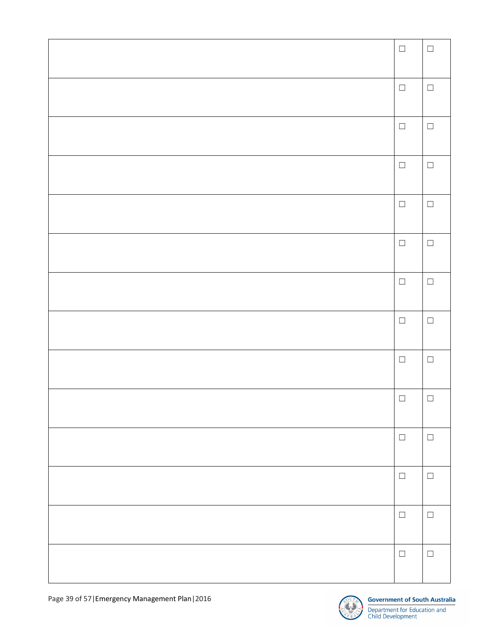| $\Box$           | $\Box$ |
|------------------|--------|
| $\Box$           | $\Box$ |
| $\hfill \square$ | $\Box$ |
| $\Box$           | $\Box$ |
| $\Box$           | $\Box$ |
| $\Box$           | $\Box$ |
| $\hfill \square$ | $\Box$ |
| $\hfill \square$ | $\Box$ |
| $\Box$           | $\Box$ |
| $\Box$           | $\Box$ |
| $\Box$           | $\Box$ |
| $\hfill \square$ | $\Box$ |
| $\hfill \square$ | $\Box$ |
| $\Box$           | $\Box$ |

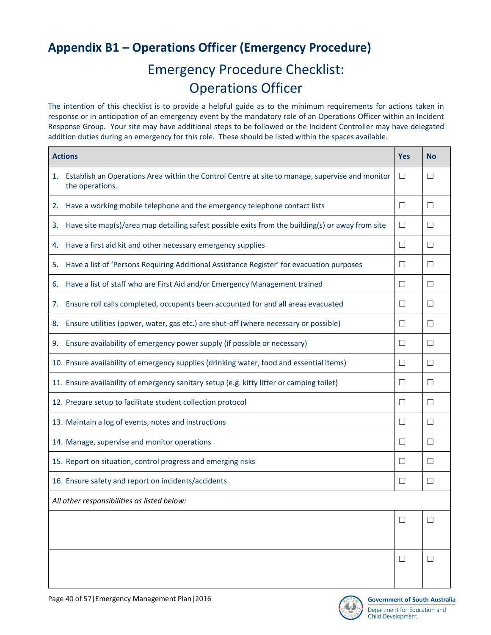# **Appendix B1 – Operations Officer (Emergency Procedure)**  Emergency Procedure Checklist: Operations Officer

The intention of this checklist is to provide a helpful guide as to the minimum requirements for actions taken in response or in anticipation of an emergency event by the mandatory role of an Operations Officer within an Incident Response Group. Your site may have additional steps to be followed or the Incident Controller may have delegated addition duties during an emergency for this role. These should be listed within the spaces available.

| <b>Actions</b>                                                                                                           | <b>Yes</b> | <b>No</b>    |
|--------------------------------------------------------------------------------------------------------------------------|------------|--------------|
| Establish an Operations Area within the Control Centre at site to manage, supervise and monitor<br>1.<br>the operations. | ப          | П            |
| Have a working mobile telephone and the emergency telephone contact lists<br>2.                                          | □          | $\Box$       |
| Have site map(s)/area map detailing safest possible exits from the building(s) or away from site<br>3.                   | $\Box$     | П            |
| 4. Have a first aid kit and other necessary emergency supplies                                                           | $\Box$     | $\Box$       |
| 5. Have a list of 'Persons Requiring Additional Assistance Register' for evacuation purposes                             | $\Box$     | □            |
| 6. Have a list of staff who are First Aid and/or Emergency Management trained                                            | □          | П            |
| 7. Ensure roll calls completed, occupants been accounted for and all areas evacuated                                     | $\Box$     | П            |
| Ensure utilities (power, water, gas etc.) are shut-off (where necessary or possible)<br>8.                               | ப          | П            |
| 9. Ensure availability of emergency power supply (if possible or necessary)                                              | $\Box$     | П            |
| 10. Ensure availability of emergency supplies (drinking water, food and essential items)                                 | $\Box$     | Ш            |
| 11. Ensure availability of emergency sanitary setup (e.g. kitty litter or camping toilet)                                | Ш          | П            |
| 12. Prepare setup to facilitate student collection protocol                                                              | $\Box$     | П            |
| 13. Maintain a log of events, notes and instructions                                                                     | $\Box$     | П            |
| 14. Manage, supervise and monitor operations                                                                             | Ш          | П            |
| 15. Report on situation, control progress and emerging risks                                                             | Ш          | □            |
| 16. Ensure safety and report on incidents/accidents                                                                      | ப          | П            |
| All other responsibilities as listed below:                                                                              |            |              |
|                                                                                                                          | Ш          |              |
|                                                                                                                          | $\Box$     | $\mathsf{L}$ |

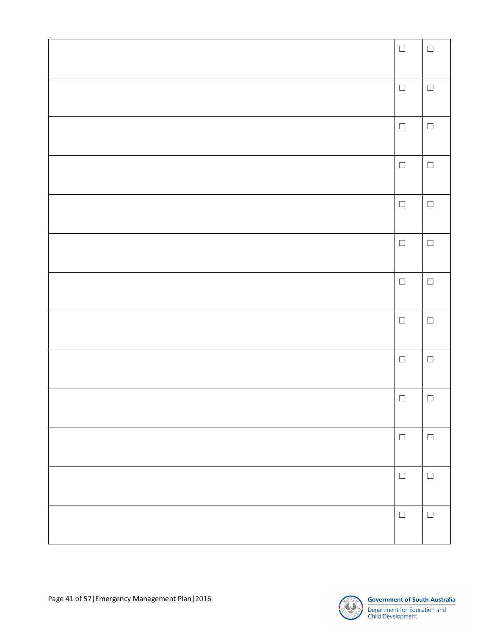| $\Box$           | $\Box$ |
|------------------|--------|
| $\hfill \square$ | $\Box$ |
| $\hfill \square$ | $\Box$ |
| $\Box$           | $\Box$ |
| $\Box$           | $\Box$ |
| $\hfill \square$ | $\Box$ |
| $\hfill \square$ | $\Box$ |
| $\hfill \square$ | $\Box$ |
| $\Box$           | $\Box$ |
| $\Box$           | $\Box$ |
| $\Box$           | $\Box$ |
| $\hfill \square$ | $\Box$ |
| $\Box$           | $\Box$ |

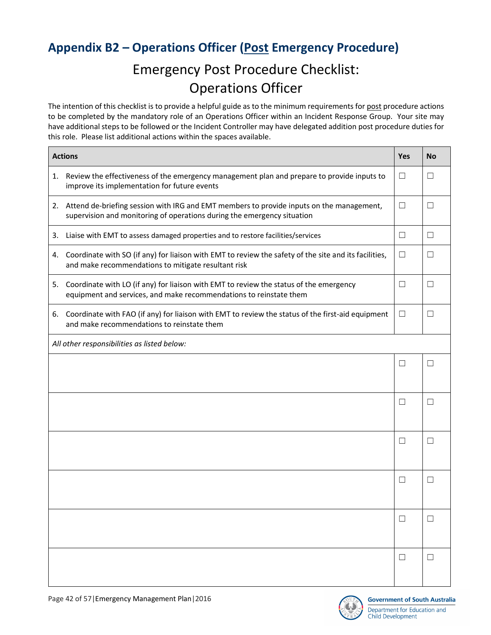### **Appendix B2 – Operations Officer (Post Emergency Procedure)**

# Emergency Post Procedure Checklist: Operations Officer

The intention of this checklist is to provide a helpful guide as to the minimum requirements for post procedure actions to be completed by the mandatory role of an Operations Officer within an Incident Response Group. Your site may have additional steps to be followed or the Incident Controller may have delegated addition post procedure duties for this role. Please list additional actions within the spaces available.

|    | <b>Actions</b>                                                                                                                                                      | <b>Yes</b> | <b>No</b> |
|----|---------------------------------------------------------------------------------------------------------------------------------------------------------------------|------------|-----------|
| 1. | Review the effectiveness of the emergency management plan and prepare to provide inputs to<br>improve its implementation for future events                          | $\Box$     | ⊔         |
| 2. | Attend de-briefing session with IRG and EMT members to provide inputs on the management,<br>supervision and monitoring of operations during the emergency situation | $\Box$     | □         |
| 3. | Liaise with EMT to assess damaged properties and to restore facilities/services                                                                                     | $\Box$     | $\Box$    |
| 4. | Coordinate with SO (if any) for liaison with EMT to review the safety of the site and its facilities,<br>and make recommendations to mitigate resultant risk        | $\Box$     | Ш         |
|    | 5. Coordinate with LO (if any) for liaison with EMT to review the status of the emergency<br>equipment and services, and make recommendations to reinstate them     | $\Box$     | $\Box$    |
| 6. | Coordinate with FAO (if any) for liaison with EMT to review the status of the first-aid equipment<br>and make recommendations to reinstate them                     | $\Box$     | $\perp$   |
|    | All other responsibilities as listed below:                                                                                                                         |            |           |
|    |                                                                                                                                                                     | Ш          | Ш         |
|    |                                                                                                                                                                     | Ш          |           |
|    |                                                                                                                                                                     | $\Box$     | Ш         |
|    |                                                                                                                                                                     | $\Box$     | □         |
|    |                                                                                                                                                                     |            |           |
|    |                                                                                                                                                                     | $\Box$     | $\perp$   |



Department for Education and Child Development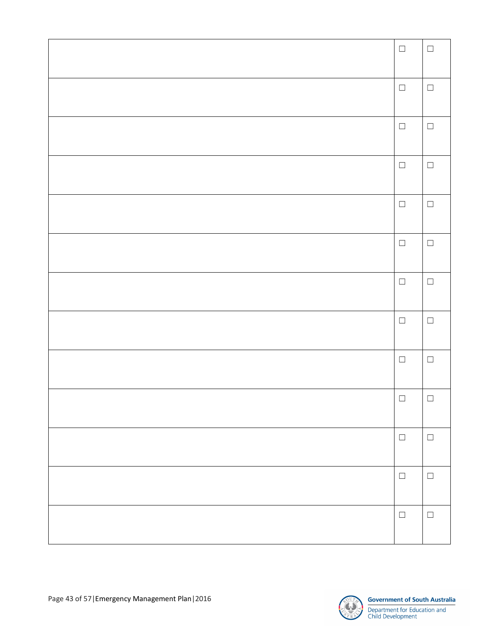| $\Box$           | $\Box$ |
|------------------|--------|
| $\hfill \square$ | $\Box$ |
| $\hfill \square$ | $\Box$ |
| $\Box$           | $\Box$ |
| $\Box$           | $\Box$ |
| $\hfill \square$ | $\Box$ |
| $\hfill \square$ | $\Box$ |
| $\hfill \square$ | $\Box$ |
| $\Box$           | $\Box$ |
| $\Box$           | $\Box$ |
| $\Box$           | $\Box$ |
| $\hfill \square$ | $\Box$ |
| $\Box$           | $\Box$ |

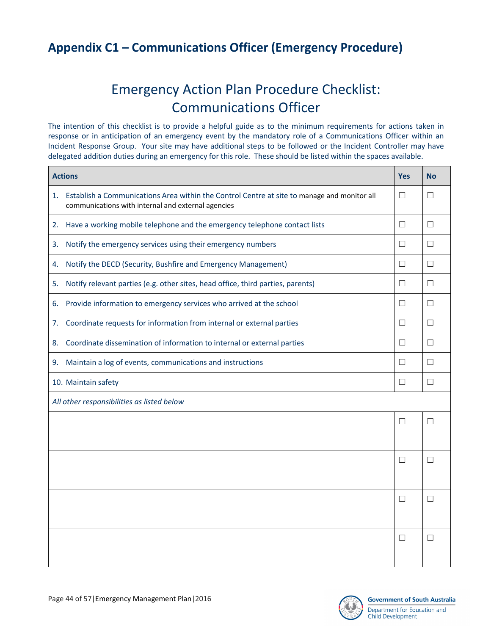### **Appendix C1 – Communications Officer (Emergency Procedure)**

# Emergency Action Plan Procedure Checklist: Communications Officer

The intention of this checklist is to provide a helpful guide as to the minimum requirements for actions taken in response or in anticipation of an emergency event by the mandatory role of a Communications Officer within an Incident Response Group. Your site may have additional steps to be followed or the Incident Controller may have delegated addition duties during an emergency for this role. These should be listed within the spaces available.

| <b>Actions</b>                                                                                                                                       |        | <b>No</b> |
|------------------------------------------------------------------------------------------------------------------------------------------------------|--------|-----------|
| 1. Establish a Communications Area within the Control Centre at site to manage and monitor all<br>communications with internal and external agencies | $\Box$ | □         |
| Have a working mobile telephone and the emergency telephone contact lists<br>2.                                                                      | $\Box$ | □         |
| Notify the emergency services using their emergency numbers<br>3.                                                                                    | $\Box$ | □         |
| Notify the DECD (Security, Bushfire and Emergency Management)<br>4.                                                                                  | П      | П         |
| Notify relevant parties (e.g. other sites, head office, third parties, parents)<br>5.                                                                | $\Box$ | П         |
| Provide information to emergency services who arrived at the school<br>6.                                                                            | П      | П         |
| Coordinate requests for information from internal or external parties<br>7.                                                                          | $\Box$ | $\Box$    |
| Coordinate dissemination of information to internal or external parties<br>8.                                                                        | $\Box$ | П         |
| Maintain a log of events, communications and instructions<br>9.                                                                                      | $\Box$ | $\Box$    |
| 10. Maintain safety                                                                                                                                  | $\Box$ | $\Box$    |
| All other responsibilities as listed below                                                                                                           |        |           |
|                                                                                                                                                      | П      | $\perp$   |
|                                                                                                                                                      | П      | П         |
|                                                                                                                                                      | $\Box$ | □         |
|                                                                                                                                                      | Ш      | $\perp$   |

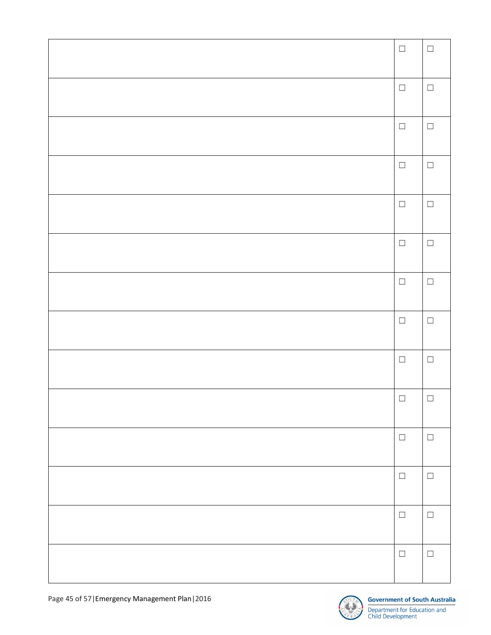| $\Box$           | $\Box$ |
|------------------|--------|
| $\Box$           | $\Box$ |
| $\hfill \square$ | $\Box$ |
| $\Box$           | $\Box$ |
| $\Box$           | $\Box$ |
| $\Box$           | $\Box$ |
| $\hfill \square$ | $\Box$ |
| $\hfill \square$ | $\Box$ |
| $\Box$           | $\Box$ |
| $\Box$           | $\Box$ |
| $\Box$           | $\Box$ |
| $\hfill \square$ | $\Box$ |
| $\hfill \square$ | $\Box$ |
| $\Box$           | $\Box$ |

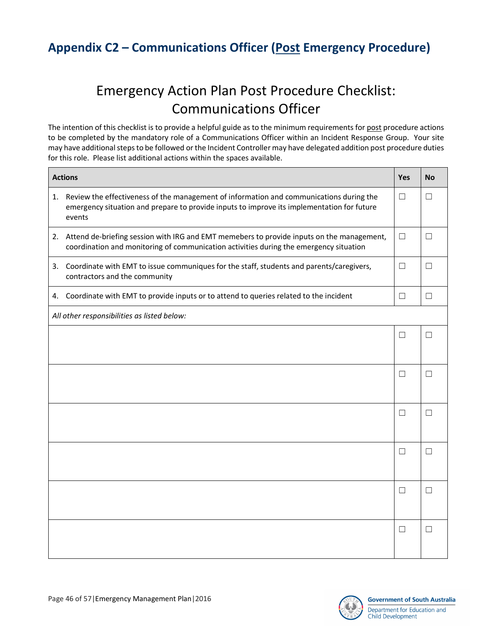### **Appendix C2 – Communications Officer (Post Emergency Procedure)**

# Emergency Action Plan Post Procedure Checklist: Communications Officer

The intention of this checklist is to provide a helpful guide as to the minimum requirements for post procedure actions to be completed by the mandatory role of a Communications Officer within an Incident Response Group. Your site may have additional steps to be followed or the Incident Controller may have delegated addition post procedure duties for this role. Please list additional actions within the spaces available.

|    | <b>Actions</b>                                                                                                                                                                                  | Yes    | <b>No</b> |
|----|-------------------------------------------------------------------------------------------------------------------------------------------------------------------------------------------------|--------|-----------|
| 1. | Review the effectiveness of the management of information and communications during the<br>emergency situation and prepare to provide inputs to improve its implementation for future<br>events | $\Box$ | $\Box$    |
|    | 2. Attend de-briefing session with IRG and EMT memebers to provide inputs on the management,<br>coordination and monitoring of communication activities during the emergency situation          | $\Box$ | $\Box$    |
|    | 3. Coordinate with EMT to issue communiques for the staff, students and parents/caregivers,<br>contractors and the community                                                                    | П      | П         |
|    | 4. Coordinate with EMT to provide inputs or to attend to queries related to the incident                                                                                                        | $\Box$ | $\Box$    |
|    | All other responsibilities as listed below:                                                                                                                                                     |        |           |
|    |                                                                                                                                                                                                 | $\Box$ | П         |
|    |                                                                                                                                                                                                 | $\Box$ | $\Box$    |
|    |                                                                                                                                                                                                 | $\Box$ | $\Box$    |
|    |                                                                                                                                                                                                 | □      | $\perp$   |
|    |                                                                                                                                                                                                 | $\Box$ | $\Box$    |
|    |                                                                                                                                                                                                 | $\Box$ | $\Box$    |

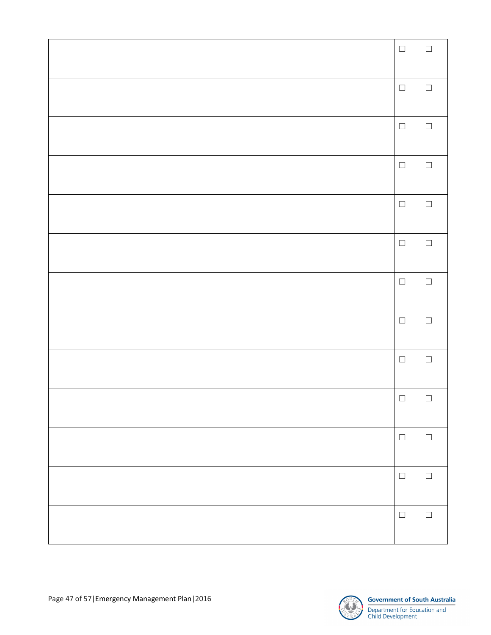| $\Box$           | $\Box$           |
|------------------|------------------|
| $\Box$           | $\Box$           |
| $\Box$           | $\Box$           |
| $\Box$           | $\Box$           |
| $\Box$           | $\Box$           |
| $\Box$           | $\Box$           |
| $\Box$           | $\Box$           |
| $\hfill \square$ | $\hfill \square$ |
| $\hfill \square$ | $\Box$           |
| $\Box$           |                  |
| $\Box$           | $\Box$           |
| $\Box$           | $\Box$           |
| $\Box$           | $\Box$           |

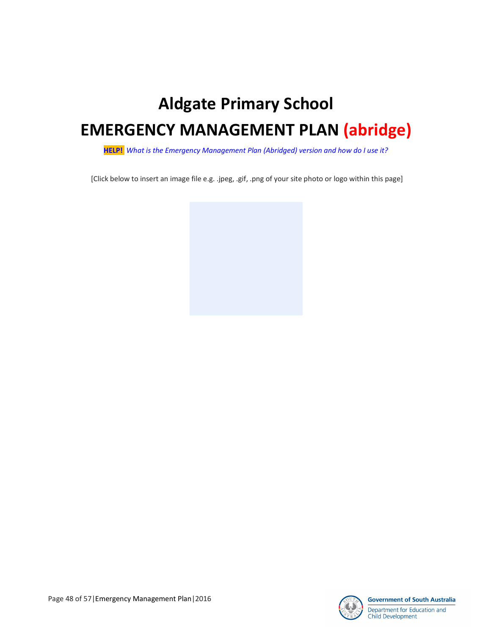# **Aldgate Primary School**

# **EMERGENCY MANAGEMENT PLAN (abridge)**

**HELP!** *What is the Emergency Management Plan (Abridged) version and how do I use it?*

[Click below to insert an image file e.g. .jpeg, .gif, .png of your site photo or logo within this page]

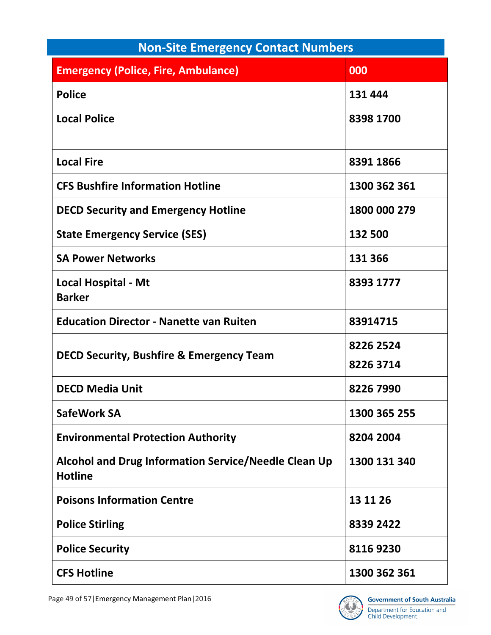| <b>Non-Site Emergency Contact Numbers</b>                              |                        |  |
|------------------------------------------------------------------------|------------------------|--|
| <b>Emergency (Police, Fire, Ambulance)</b>                             | 000                    |  |
| <b>Police</b>                                                          | 131 444                |  |
| <b>Local Police</b>                                                    | 8398 1700              |  |
| <b>Local Fire</b>                                                      | 8391 1866              |  |
| <b>CFS Bushfire Information Hotline</b>                                | 1300 362 361           |  |
| <b>DECD Security and Emergency Hotline</b>                             | 1800 000 279           |  |
| <b>State Emergency Service (SES)</b>                                   | 132 500                |  |
| <b>SA Power Networks</b>                                               | 131 366                |  |
| Local Hospital - Mt<br><b>Barker</b>                                   | 8393 1777              |  |
| <b>Education Director - Nanette van Ruiten</b>                         | 83914715               |  |
| <b>DECD Security, Bushfire &amp; Emergency Team</b>                    | 8226 2524<br>8226 3714 |  |
| <b>DECD Media Unit</b>                                                 | 8226 7990              |  |
| <b>SafeWork SA</b>                                                     | 1300 365 255           |  |
| <b>Environmental Protection Authority</b>                              | 8204 2004              |  |
| Alcohol and Drug Information Service/Needle Clean Up<br><b>Hotline</b> | 1300 131 340           |  |
| <b>Poisons Information Centre</b>                                      | 13 11 26               |  |
| <b>Police Stirling</b>                                                 | 8339 2422              |  |
| <b>Police Security</b>                                                 | 81169230               |  |
| <b>CFS Hotline</b>                                                     | 1300 362 361           |  |

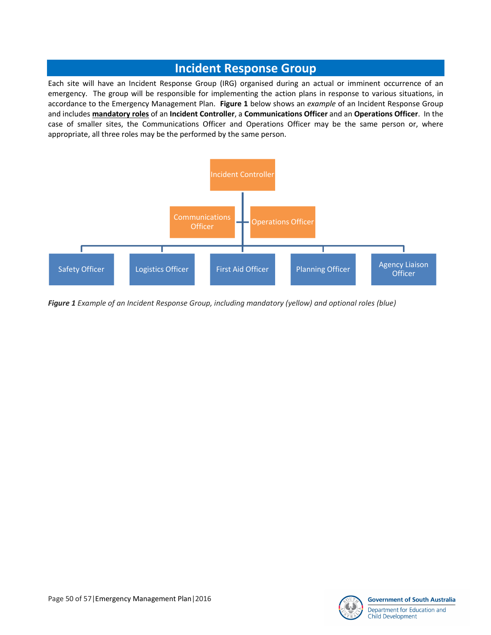### **Incident Response Group**

Each site will have an Incident Response Group (IRG) organised during an actual or imminent occurrence of an emergency. The group will be responsible for implementing the action plans in response to various situations, in accordance to the Emergency Management Plan. **Figure 1** below shows an *example* of an Incident Response Group and includes **mandatory roles** of an **Incident Controller**, a **Communications Officer** and an **Operations Officer**. In the case of smaller sites, the Communications Officer and Operations Officer may be the same person or, where appropriate, all three roles may be the performed by the same person.



*Figure 1 Example of an Incident Response Group, including mandatory (yellow) and optional roles (blue)* 

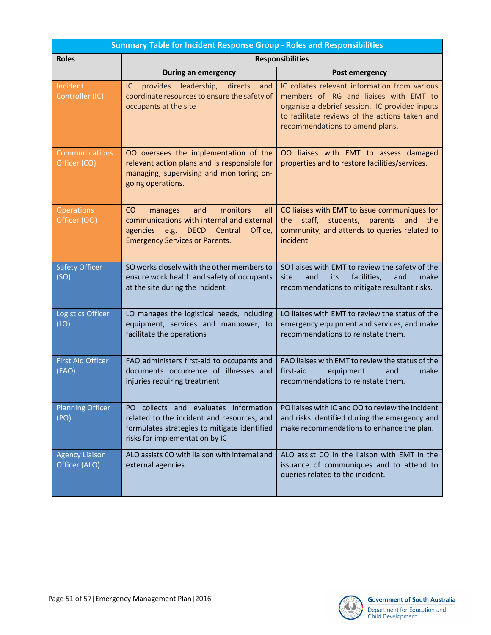| <b>Summary Table for Incident Response Group - Roles and Responsibilities</b> |                                                                                                                                                                                        |                                                                                                                                                                                                                                |  |  |
|-------------------------------------------------------------------------------|----------------------------------------------------------------------------------------------------------------------------------------------------------------------------------------|--------------------------------------------------------------------------------------------------------------------------------------------------------------------------------------------------------------------------------|--|--|
| <b>Roles</b>                                                                  | <b>Responsibilities</b>                                                                                                                                                                |                                                                                                                                                                                                                                |  |  |
|                                                                               | During an emergency                                                                                                                                                                    | Post emergency                                                                                                                                                                                                                 |  |  |
| Incident<br>Controller (IC)                                                   | provides leadership,<br>directs<br>IC.<br>and<br>coordinate resources to ensure the safety of<br>occupants at the site                                                                 | IC collates relevant information from various<br>members of IRG and liaises with EMT to<br>organise a debrief session. IC provided inputs<br>to facilitate reviews of the actions taken and<br>recommendations to amend plans. |  |  |
| <b>Communications</b><br>Officer (CO)                                         | OO oversees the implementation of the<br>relevant action plans and is responsible for<br>managing, supervising and monitoring on-<br>going operations.                                 | OO liaises with EMT to assess damaged<br>properties and to restore facilities/services.                                                                                                                                        |  |  |
| <b>Operations</b><br>Officer (OO)                                             | CO<br>monitors<br>manages<br>and<br>all<br>communications with internal and external<br><b>DECD</b><br>Central<br>Office,<br>agencies<br>e.g.<br><b>Emergency Services or Parents.</b> | CO liaises with EMT to issue communiques for<br>students, parents<br>staff,<br>and the<br>the<br>community, and attends to queries related to<br>incident.                                                                     |  |  |
| <b>Safety Officer</b><br>(SO)                                                 | SO works closely with the other members to<br>ensure work health and safety of occupants<br>at the site during the incident                                                            | SO liaises with EMT to review the safety of the<br>facilities,<br>site<br>and<br>its<br>and<br>make<br>recommendations to mitigate resultant risks.                                                                            |  |  |
| Logistics Officer<br>(LO)                                                     | LO manages the logistical needs, including<br>equipment, services and manpower, to<br>facilitate the operations                                                                        | LO liaises with EMT to review the status of the<br>emergency equipment and services, and make<br>recommendations to reinstate them.                                                                                            |  |  |
| <b>First Aid Officer</b><br>(FAO)                                             | FAO administers first-aid to occupants and<br>documents occurrence of illnesses and<br>injuries requiring treatment                                                                    | FAO liaises with EMT to review the status of the<br>first-aid<br>make<br>equipment<br>and<br>recommendations to reinstate them.                                                                                                |  |  |
| <b>Planning Officer</b><br>(PO)                                               | PO collects and evaluates information<br>related to the incident and resources, and<br>formulates strategies to mitigate identified<br>risks for implementation by IC                  | PO liaises with IC and OO to review the incident<br>and risks identified during the emergency and<br>make recommendations to enhance the plan.                                                                                 |  |  |
| <b>Agency Liaison</b><br>Officer (ALO)                                        | ALO assists CO with liaison with internal and<br>external agencies                                                                                                                     | ALO assist CO in the liaison with EMT in the<br>issuance of communiques and to attend to<br>queries related to the incident.                                                                                                   |  |  |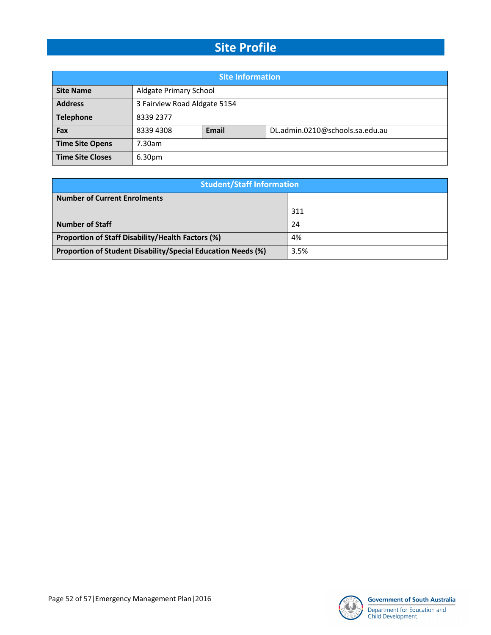# **Site Profile**

| <b>Site Information</b> |                              |              |                                 |
|-------------------------|------------------------------|--------------|---------------------------------|
| <b>Site Name</b>        | Aldgate Primary School       |              |                                 |
| <b>Address</b>          | 3 Fairview Road Aldgate 5154 |              |                                 |
| <b>Telephone</b>        | 8339 2377                    |              |                                 |
| Fax                     | 8339 4308                    | <b>Email</b> | DL.admin.0210@schools.sa.edu.au |
| <b>Time Site Opens</b>  | 7.30am                       |              |                                 |
| <b>Time Site Closes</b> | 6.30pm                       |              |                                 |

| <b>Student/Staff Information</b>                             |      |
|--------------------------------------------------------------|------|
| <b>Number of Current Enrolments</b>                          |      |
|                                                              | 311  |
| <b>Number of Staff</b>                                       | 24   |
| Proportion of Staff Disability/Health Factors (%)            | 4%   |
| Proportion of Student Disability/Special Education Needs (%) | 3.5% |

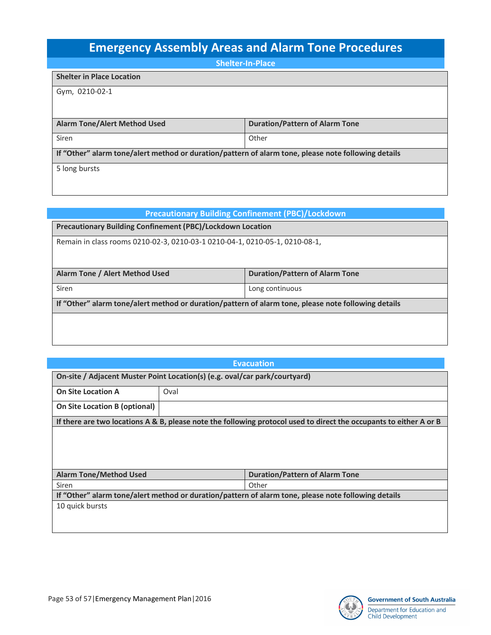## **Emergency Assembly Areas and Alarm Tone Procedures**

**Shelter-In-Place** 

| <b>Shelter in Place Location</b>    |                                                                                                     |  |
|-------------------------------------|-----------------------------------------------------------------------------------------------------|--|
| Gym, 0210-02-1                      |                                                                                                     |  |
|                                     |                                                                                                     |  |
| <b>Alarm Tone/Alert Method Used</b> | <b>Duration/Pattern of Alarm Tone</b>                                                               |  |
| Siren                               | Other                                                                                               |  |
|                                     | If "Other" alarm tone/alert method or duration/pattern of alarm tone, please note following details |  |
| 5 long bursts                       |                                                                                                     |  |
|                                     |                                                                                                     |  |

#### **Precautionary Building Confinement (PBC)/Lockdown**

**Precautionary Building Confinement (PBC)/Lockdown Location** 

Remain in class rooms 0210-02-3, 0210-03-1 0210-04-1, 0210-05-1, 0210-08-1,

| Alarm Tone / Alert Method Used                                                                      | <b>Duration/Pattern of Alarm Tone</b> |  |
|-----------------------------------------------------------------------------------------------------|---------------------------------------|--|
| Siren                                                                                               | Long continuous                       |  |
| If "Other" alarm tone/alert method or duration/pattern of alarm tone, please note following details |                                       |  |
|                                                                                                     |                                       |  |
|                                                                                                     |                                       |  |

| <b>Evacuation</b>                                                                                                  |      |                                       |  |  |
|--------------------------------------------------------------------------------------------------------------------|------|---------------------------------------|--|--|
| On-site / Adjacent Muster Point Location(s) (e.g. oval/car park/courtyard)                                         |      |                                       |  |  |
| <b>On Site Location A</b>                                                                                          | Oval |                                       |  |  |
| <b>On Site Location B (optional)</b>                                                                               |      |                                       |  |  |
| If there are two locations A & B, please note the following protocol used to direct the occupants to either A or B |      |                                       |  |  |
|                                                                                                                    |      |                                       |  |  |
|                                                                                                                    |      |                                       |  |  |
|                                                                                                                    |      |                                       |  |  |
|                                                                                                                    |      |                                       |  |  |
| <b>Alarm Tone/Method Used</b>                                                                                      |      | <b>Duration/Pattern of Alarm Tone</b> |  |  |
| Siren                                                                                                              |      | Other                                 |  |  |
| If "Other" alarm tone/alert method or duration/pattern of alarm tone, please note following details                |      |                                       |  |  |
| 10 quick bursts                                                                                                    |      |                                       |  |  |
|                                                                                                                    |      |                                       |  |  |
|                                                                                                                    |      |                                       |  |  |

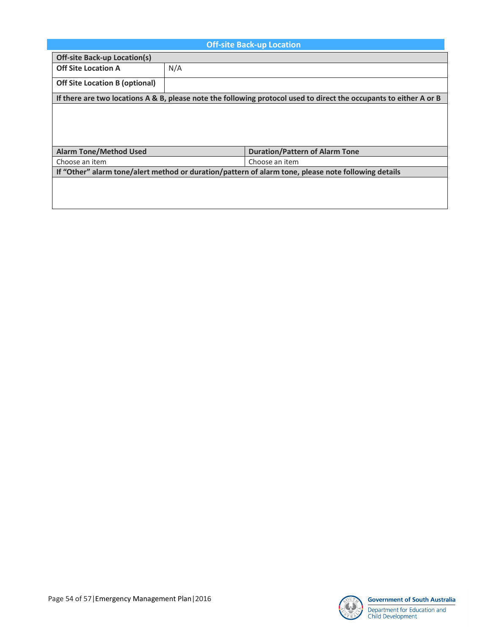| <b>Off-site Back-up Location</b>                                                                                   |     |                                       |  |  |
|--------------------------------------------------------------------------------------------------------------------|-----|---------------------------------------|--|--|
| <b>Off-site Back-up Location(s)</b>                                                                                |     |                                       |  |  |
| <b>Off Site Location A</b>                                                                                         | N/A |                                       |  |  |
| <b>Off Site Location B (optional)</b>                                                                              |     |                                       |  |  |
| If there are two locations A & B, please note the following protocol used to direct the occupants to either A or B |     |                                       |  |  |
|                                                                                                                    |     |                                       |  |  |
|                                                                                                                    |     |                                       |  |  |
|                                                                                                                    |     |                                       |  |  |
|                                                                                                                    |     |                                       |  |  |
| <b>Alarm Tone/Method Used</b>                                                                                      |     | <b>Duration/Pattern of Alarm Tone</b> |  |  |
| Choose an item                                                                                                     |     | Choose an item                        |  |  |
| If "Other" alarm tone/alert method or duration/pattern of alarm tone, please note following details                |     |                                       |  |  |
|                                                                                                                    |     |                                       |  |  |
|                                                                                                                    |     |                                       |  |  |
|                                                                                                                    |     |                                       |  |  |

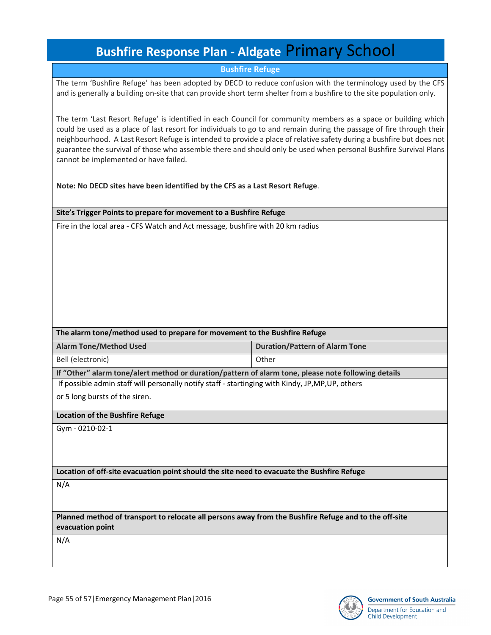# **Bushfire Response Plan - Aldgate** Primary School

#### **Bushfire Refuge**

The term 'Bushfire Refuge' has been adopted by DECD to reduce confusion with the terminology used by the CFS and is generally a building on-site that can provide short term shelter from a bushfire to the site population only.

The term 'Last Resort Refuge' is identified in each Council for community members as a space or building which could be used as a place of last resort for individuals to go to and remain during the passage of fire through their neighbourhood. A Last Resort Refuge is intended to provide a place of relative safety during a bushfire but does not guarantee the survival of those who assemble there and should only be used when personal Bushfire Survival Plans cannot be implemented or have failed.

**Note: No DECD sites have been identified by the CFS as a Last Resort Refuge**.

**Site's Trigger Points to prepare for movement to a Bushfire Refuge**

Fire in the local area - CFS Watch and Act message, bushfire with 20 km radius

#### **The alarm tone/method used to prepare for movement to the Bushfire Refuge**

| <b>Alarm Tone/Method Used</b> | Duration/Pattern of Alarm Tone |
|-------------------------------|--------------------------------|
| Bell (electronic)             | Other                          |

**If "Other" alarm tone/alert method or duration/pattern of alarm tone, please note following details** 

If possible admin staff will personally notify staff - startinging with Kindy, JP,MP,UP, others

or 5 long bursts of the siren.

#### **Location of the Bushfire Refuge**

Gym - 0210-02-1

**Location of off-site evacuation point should the site need to evacuate the Bushfire Refuge** 

N/A

**Planned method of transport to relocate all persons away from the Bushfire Refuge and to the off-site evacuation point** 

N/A

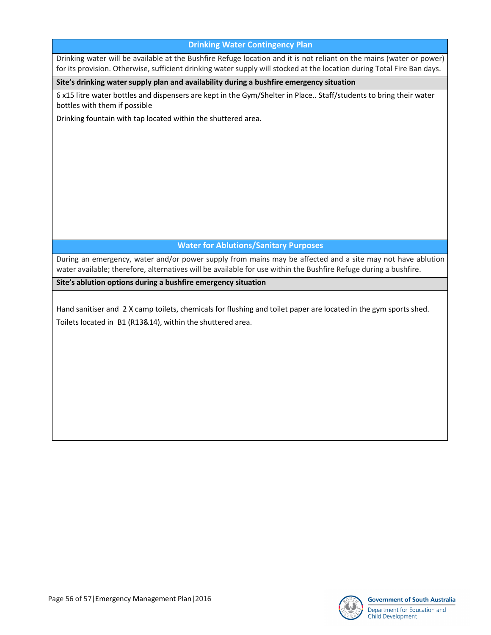#### **Drinking Water Contingency Plan**

Drinking water will be available at the Bushfire Refuge location and it is not reliant on the mains (water or power) for its provision. Otherwise, sufficient drinking water supply will stocked at the location during Total Fire Ban days.

#### **Site's drinking water supply plan and availability during a bushfire emergency situation**

6 x15 litre water bottles and dispensers are kept in the Gym/Shelter in Place.. Staff/students to bring their water bottles with them if possible

Drinking fountain with tap located within the shuttered area.

#### **Water for Ablutions/Sanitary Purposes**

During an emergency, water and/or power supply from mains may be affected and a site may not have ablution water available; therefore, alternatives will be available for use within the Bushfire Refuge during a bushfire.

**Site's ablution options during a bushfire emergency situation** 

Hand sanitiser and 2 X camp toilets, chemicals for flushing and toilet paper are located in the gym sports shed. Toilets located in B1 (R13&14), within the shuttered area.